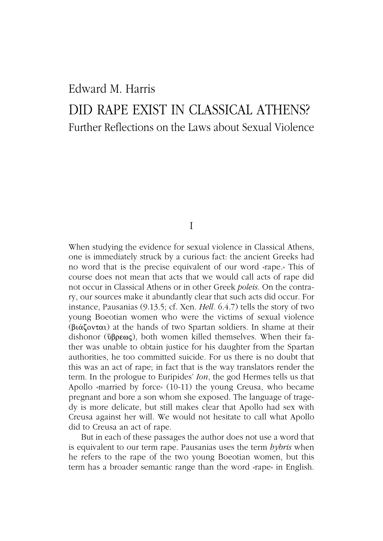## Edward M. Harris

# [DID RAPE EXIST IN CLASSICAL ATHENS?](http://www.ledonline.it/dike) Further Reflections on the Laws about Sexual Violence

I

When studying the evidence for sexual violence in Classical Athens, one is immediately struck by a curious fact: the ancient Greeks had no word that is the precise equivalent of our word «rape.» This of course does not mean that acts that we would call acts of rape did not occur in Classical Athens or in other Greek *poleis*. On the contrary, our sources make it abundantly clear that such acts did occur. For instance, Pausanias (9.13.5; cf. Xen. *Hell.* 6.4.7) tells the story of two young Boeotian women who were the victims of sexual violence  $(\beta t \alpha \zeta \circ \gamma \alpha)$  at the hands of two Spartan soldiers. In shame at their dishonor (ΰβρεως), both women killed themselves. When their father was unable to obtain justice for his daughter from the Spartan authorities, he too committed suicide. For us there is no doubt that this was an act of rape; in fact that is the way translators render the term. In the prologue to Euripides' *Ion*, the god Hermes tells us that Apollo «married by force» (10-11) the young Creusa, who became pregnant and bore a son whom she exposed. The language of tragedy is more delicate, but still makes clear that Apollo had sex with Creusa against her will. We would not hesitate to call what Apollo did to Creusa an act of rape.

But in each of these passages the author does not use a word that is equivalent to our term rape. Pausanias uses the term *hybris* when he refers to the rape of the two young Boeotian women, but this term has a broader semantic range than the word «rape» in English.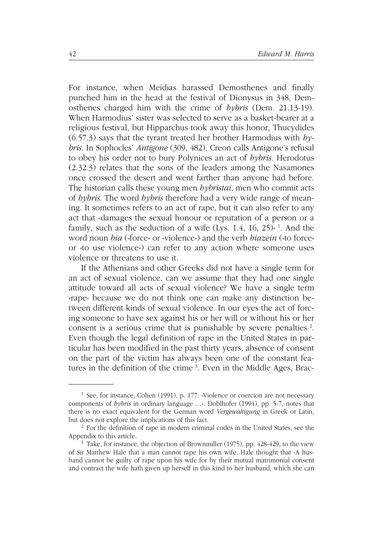For instance, when Meidias harassed Demosthenes and finally punched him in the head at the festival of Dionysus in 348, Demosthenes charged him with the crime of *hybris* (Dem. 21.13-19). When Harmodius' sister was selected to serve as a basket-bearer at a religious festival, but Hipparchus took away this honor, Thucydides (6.57.3) says that the tyrant treated her brother Harmodius with *hybris*. In Sophocles' *Antigone* (309, 482), Creon calls Antigone's refusal to obey his order not to bury Polynices an act of *hybris*. Herodotus (2.32.3) relates that the sons of the leaders among the Nasamones once crossed the desert and went farther than anyone had before. The historian calls these young men *hybristai*, men who commit acts of *hybris*. The word *hybris* therefore had a very wide range of meaning. It sometimes refers to an act of rape, but it can also refer to any act that «damages the sexual honour or reputation of a person or a family, such as the seduction of a wife (Lys. 1.4, 16, 25)»  $^1$ . And the word noun *bia* («force» or «violence») and the verb *biazein* («to force» or «to use violence») can refer to any action where someone uses violence or threatens to use it.

If the Athenians and other Greeks did not have a single term for an act of sexual violence, can we assume that they had one single attitude toward all acts of sexual violence? We have a single term «rape» because we do not think one can make any distinction between different kinds of sexual violence. In our eyes the act of forcing someone to have sex against his or her will or without his or her consent is a serious crime that is punishable by severe penalties  $2$ . Even though the legal definition of rape in the United States in particular has been modified in the past thirty years, absence of consent on the part of the victim has always been one of the constant features in the definition of the crime <sup>3</sup>. Even in the Middle Ages, Brac-

<sup>1</sup> See, for instance, Cohen (1991), p. 177: «Violence or coercion are not necessary components of *hybris* in ordinary language …». Doblhofer (1994), pp. 5-7, notes that there is no exact equivalent for the German word *Vergewaltigung* in Greek or Latin, but does not explore the implications of this fact.

<sup>2</sup> For the definition of rape in modern criminal codes in the United States, see the Appendix to this article.

<sup>3</sup> Take, for instance, the objection of Brownmiller (1975), pp. 428-429, to the view of Sir Matthew Hale that a man cannot rape his own wife. Hale thought that «A husband cannot be guilty of rape upon his wife for by their mutual matrimonial consent and contract the wife hath given up herself in this kind to her husband, which she can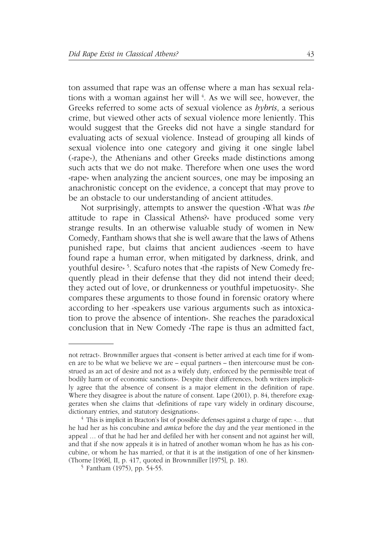ton assumed that rape was an offense where a man has sexual relations with a woman against her will <sup>4</sup>. As we will see, however, the Greeks referred to some acts of sexual violence as *hybris*, a serious crime, but viewed other acts of sexual violence more leniently. This would suggest that the Greeks did not have a single standard for evaluating acts of sexual violence. Instead of grouping all kinds of sexual violence into one category and giving it one single label («rape»), the Athenians and other Greeks made distinctions among such acts that we do not make. Therefore when one uses the word «rape» when analyzing the ancient sources, one may be imposing an anachronistic concept on the evidence, a concept that may prove to be an obstacle to our understanding of ancient attitudes.

Not surprisingly, attempts to answer the question «What was *the* attitude to rape in Classical Athens?» have produced some very strange results. In an otherwise valuable study of women in New Comedy, Fantham shows that she is well aware that the laws of Athens punished rape, but claims that ancient audiences «seem to have found rape a human error, when mitigated by darkness, drink, and youthful desire» <sup>5</sup> . Scafuro notes that «the rapists of New Comedy frequently plead in their defense that they did not intend their deed; they acted out of love, or drunkenness or youthful impetuosity». She compares these arguments to those found in forensic oratory where according to her «speakers use various arguments such as intoxication to prove the absence of intention». She reaches the paradoxical conclusion that in New Comedy «The rape is thus an admitted fact,

not retract». Brownmiller argues that «consent is better arrived at each time for if women are to be what we believe we are – equal partners – then intercourse must be construed as an act of desire and not as a wifely duty, enforced by the permissible treat of bodily harm or of economic sanctions». Despite their differences, both writers implicitly agree that the absence of consent is a major element in the definition of rape. Where they disagree is about the nature of consent. Lape (2001), p. 84, therefore exaggerates when she claims that «definitions of rape vary widely in ordinary discourse, dictionary entries, and statutory designations».

<sup>&</sup>lt;sup>4</sup> This is implicit in Bracton's list of possible defenses against a charge of rape: «... that he had her as his concubine and *amica* before the day and the year mentioned in the appeal … of that he had her and defiled her with her consent and not against her will, and that if she now appeals it is in hatred of another woman whom he has as his concubine, or whom he has married, or that it is at the instigation of one of her kinsmen» (Thorne [1968], II, p. 417, quoted in Brownmiller [1975], p. 18).

<sup>5</sup> Fantham (1975), pp. 54-55.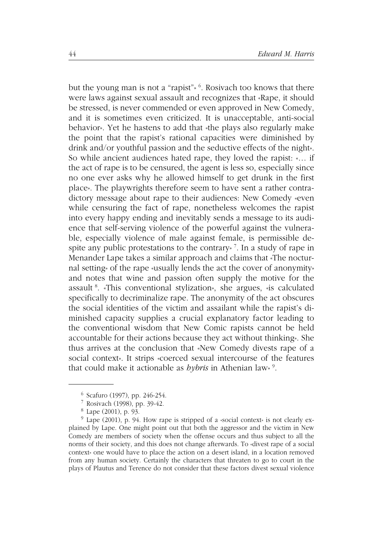but the young man is not a "rapist"» <sup>6</sup> . Rosivach too knows that there were laws against sexual assault and recognizes that «Rape, it should be stressed, is never commended or even approved in New Comedy, and it is sometimes even criticized. It is unacceptable, anti-social behavior». Yet he hastens to add that «the plays also regularly make the point that the rapist's rational capacities were diminished by drink and/or youthful passion and the seductive effects of the night». So while ancient audiences hated rape, they loved the rapist: «… if the act of rape is to be censured, the agent is less so, especially since no one ever asks why he allowed himself to get drunk in the first place». The playwrights therefore seem to have sent a rather contradictory message about rape to their audiences: New Comedy «even while censuring the fact of rape, nonetheless welcomes the rapist into every happy ending and inevitably sends a message to its audience that self-serving violence of the powerful against the vulnerable, especially violence of male against female, is permissible despite any public protestations to the contrary» <sup>7</sup> . In a study of rape in Menander Lape takes a similar approach and claims that «The nocturnal setting» of the rape «usually lends the act the cover of anonymity» and notes that wine and passion often supply the motive for the assault <sup>8</sup> . «This conventional stylization», she argues, «is calculated specifically to decriminalize rape. The anonymity of the act obscures the social identities of the victim and assailant while the rapist's diminished capacity supplies a crucial explanatory factor leading to the conventional wisdom that New Comic rapists cannot be held accountable for their actions because they act without thinking». She thus arrives at the conclusion that «New Comedy divests rape of a social context». It strips «coerced sexual intercourse of the features that could make it actionable as *hybris* in Athenian law» <sup>9</sup> .

<sup>6</sup> Scafuro (1997), pp. 246-254.

<sup>7</sup> Rosivach (1998), pp. 39-42.

<sup>8</sup> Lape (2001), p. 93.

<sup>9</sup> Lape (2001), p. 94. How rape is stripped of a «social context» is not clearly explained by Lape. One might point out that both the aggressor and the victim in New Comedy are members of society when the offense occurs and thus subject to all the norms of their society, and this does not change afterwards. To «divest rape of a social context» one would have to place the action on a desert island, in a location removed from any human society. Certainly the characters that threaten to go to court in the plays of Plautus and Terence do not consider that these factors divest sexual violence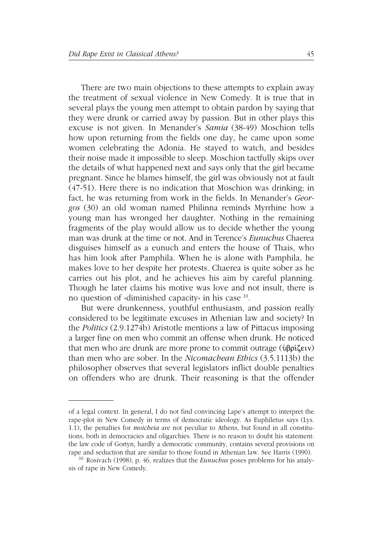There are two main objections to these attempts to explain away the treatment of sexual violence in New Comedy. It is true that in several plays the young men attempt to obtain pardon by saying that they were drunk or carried away by passion. But in other plays this excuse is not given. In Menander's *Samia* (38-49) Moschion tells how upon returning from the fields one day, he came upon some women celebrating the Adonia. He stayed to watch, and besides their noise made it impossible to sleep. Moschion tactfully skips over the details of what happened next and says only that the girl became pregnant. Since he blames himself, the girl was obviously not at fault (47-51). Here there is no indication that Moschion was drinking; in fact, he was returning from work in the fields. In Menander's *Georgos* (30) an old woman named Philinna reminds Myrrhine how a young man has wronged her daughter. Nothing in the remaining fragments of the play would allow us to decide whether the young man was drunk at the time or not. And in Terence's *Eunuchus* Chaerea disguises himself as a eunuch and enters the house of Thais, who has him look after Pamphila. When he is alone with Pamphila, he makes love to her despite her protests. Chaerea is quite sober as he carries out his plot, and he achieves his aim by careful planning. Though he later claims his motive was love and not insult, there is no question of «diminished capacity» in his case 10.

But were drunkenness, youthful enthusiasm, and passion really considered to be legitimate excuses in Athenian law and society? In the *Politics* (2.9.1274b) Aristotle mentions a law of Pittacus imposing a larger fine on men who commit an offense when drunk. He noticed that men who are drunk are more prone to commit outrage ( $\delta \beta \rho i \xi \epsilon \nu$ ) than men who are sober. In the *Nicomachean Ethics* (3.5.1113b) the philosopher observes that several legislators inflict double penalties on offenders who are drunk. Their reasoning is that the offender

of a legal context. In general, I do not find convincing Lape's attempt to interpret the rape-plot in New Comedy in terms of democratic ideology. As Euphiletus says (Lys. 1.1), the penalties for *moicheia* are not peculiar to Athens, but found in all constitutions, both in democracies and oligarchies. There is no reason to doubt his statement: the law code of Gortyn, hardly a democratic community, contains several provisions on rape and seduction that are similar to those found in Athenian law. See Harris (1990).

<sup>10</sup> Rosivach (1998), p. 46, realizes that the *Eunuchus* poses problems for his analysis of rape in New Comedy.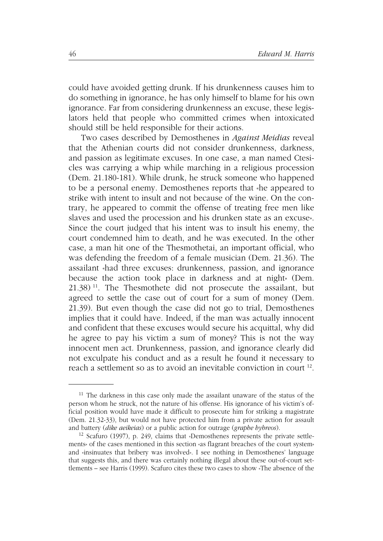could have avoided getting drunk. If his drunkenness causes him to do something in ignorance, he has only himself to blame for his own ignorance. Far from considering drunkenness an excuse, these legislators held that people who committed crimes when intoxicated should still be held responsible for their actions.

Two cases described by Demosthenes in *Against Meidias* reveal that the Athenian courts did not consider drunkenness, darkness, and passion as legitimate excuses. In one case, a man named Ctesicles was carrying a whip while marching in a religious procession (Dem. 21.180-181). While drunk, he struck someone who happened to be a personal enemy. Demosthenes reports that «he appeared to strike with intent to insult and not because of the wine. On the contrary, he appeared to commit the offense of treating free men like slaves and used the procession and his drunken state as an excuse». Since the court judged that his intent was to insult his enemy, the court condemned him to death, and he was executed. In the other case, a man hit one of the Thesmothetai, an important official, who was defending the freedom of a female musician (Dem. 21.36). The assailant «had three excuses: drunkenness, passion, and ignorance because the action took place in darkness and at night» (Dem. 21.38) 11. The Thesmothete did not prosecute the assailant, but agreed to settle the case out of court for a sum of money (Dem. 21.39). But even though the case did not go to trial, Demosthenes implies that it could have. Indeed, if the man was actually innocent and confident that these excuses would secure his acquittal, why did he agree to pay his victim a sum of money? This is not the way innocent men act. Drunkenness, passion, and ignorance clearly did not exculpate his conduct and as a result he found it necessary to reach a settlement so as to avoid an inevitable conviction in court 12.

<sup>&</sup>lt;sup>11</sup> The darkness in this case only made the assailant unaware of the status of the person whom he struck, not the nature of his offense. His ignorance of his victim's official position would have made it difficult to prosecute him for striking a magistrate (Dem. 21.32-33), but would not have protected him from a private action for assault and battery (*dike aeikeias*) or a public action for outrage (*graphe hybreos*).

<sup>12</sup> Scafuro (1997), p. 249, claims that «Demosthenes represents the private settlements» of the cases mentioned in this section «as flagrant breaches of the court system» and «insinuates that bribery was involved». I see nothing in Demosthenes' language that suggests this, and there was certainly nothing illegal about these out-of-court settlements – see Harris (1999). Scafuro cites these two cases to show «The absence of the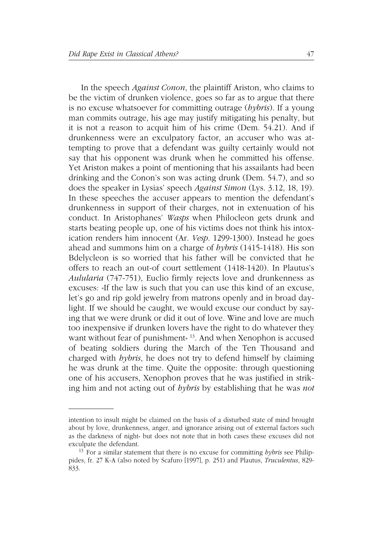In the speech *Against Conon*, the plaintiff Ariston, who claims to be the victim of drunken violence, goes so far as to argue that there is no excuse whatsoever for committing outrage (*hybris*). If a young man commits outrage, his age may justify mitigating his penalty, but it is not a reason to acquit him of his crime (Dem. 54.21). And if drunkenness were an exculpatory factor, an accuser who was attempting to prove that a defendant was guilty certainly would not say that his opponent was drunk when he committed his offense. Yet Ariston makes a point of mentioning that his assailants had been drinking and the Conon's son was acting drunk (Dem. 54.7), and so does the speaker in Lysias' speech *Against Simon* (Lys. 3.12, 18, 19). In these speeches the accuser appears to mention the defendant's drunkenness in support of their charges, not in extenuation of his conduct. In Aristophanes' *Wasps* when Philocleon gets drunk and starts beating people up, one of his victims does not think his intoxication renders him innocent (Ar. *Vesp*. 1299-1300). Instead he goes ahead and summons him on a charge of *hybris* (1415-1418). His son Bdelycleon is so worried that his father will be convicted that he offers to reach an out-of court settlement (1418-1420). In Plautus's *Aulularia* (747-751), Euclio firmly rejects love and drunkenness as excuses: «If the law is such that you can use this kind of an excuse, let's go and rip gold jewelry from matrons openly and in broad daylight. If we should be caught, we would excuse our conduct by saying that we were drunk or did it out of love. Wine and love are much too inexpensive if drunken lovers have the right to do whatever they want without fear of punishment» 13. And when Xenophon is accused of beating soldiers during the March of the Ten Thousand and charged with *hybris*, he does not try to defend himself by claiming he was drunk at the time. Quite the opposite: through questioning one of his accusers, Xenophon proves that he was justified in striking him and not acting out of *hybris* by establishing that he was *not*

intention to insult might be claimed on the basis of a disturbed state of mind brought about by love, drunkenness, anger, and ignorance arising out of external factors such as the darkness of night» but does not note that in both cases these excuses did not exculpate the defendant.

 $^{13}$  For a similar statement that there is no excuse for committing *hybris* see Philippides, fr. 27 K-A (also noted by Scafuro [1997], p. 251) and Plautus, *Truculentus*, 829- 833.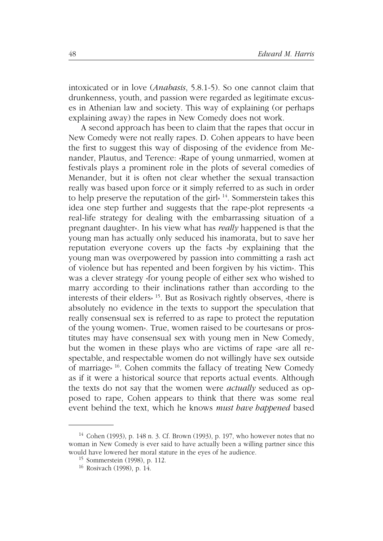intoxicated or in love (*Anabasis*, 5.8.1-5). So one cannot claim that drunkenness, youth, and passion were regarded as legitimate excuses in Athenian law and society. This way of explaining (or perhaps explaining away) the rapes in New Comedy does not work.

A second approach has been to claim that the rapes that occur in New Comedy were not really rapes. D. Cohen appears to have been the first to suggest this way of disposing of the evidence from Menander, Plautus, and Terence: «Rape of young unmarried, women at festivals plays a prominent role in the plots of several comedies of Menander, but it is often not clear whether the sexual transaction really was based upon force or it simply referred to as such in order to help preserve the reputation of the girl» 14. Sommerstein takes this idea one step further and suggests that the rape-plot represents «a real-life strategy for dealing with the embarrassing situation of a pregnant daughter». In his view what has *really* happened is that the young man has actually only seduced his inamorata, but to save her reputation everyone covers up the facts «by explaining that the young man was overpowered by passion into committing a rash act of violence but has repented and been forgiven by his victim». This was a clever strategy «for young people of either sex who wished to marry according to their inclinations rather than according to the interests of their elders» 15. But as Rosivach rightly observes, «there is absolutely no evidence in the texts to support the speculation that really consensual sex is referred to as rape to protect the reputation of the young women». True, women raised to be courtesans or prostitutes may have consensual sex with young men in New Comedy, but the women in these plays who are victims of rape «are all respectable, and respectable women do not willingly have sex outside of marriage» 16. Cohen commits the fallacy of treating New Comedy as if it were a historical source that reports actual events. Although the texts do not say that the women were *actually* seduced as opposed to rape, Cohen appears to think that there was some real event behind the text, which he knows *must have happened* based

 $14$  Cohen (1993), p. 148 n. 3. Cf. Brown (1993), p. 197, who however notes that no woman in New Comedy is ever said to have actually been a willing partner since this would have lowered her moral stature in the eyes of he audience.

<sup>15</sup> Sommerstein (1998), p. 112.

<sup>16</sup> Rosivach (1998), p. 14.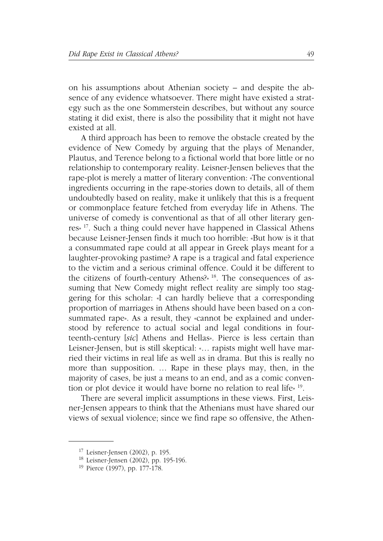on his assumptions about Athenian society – and despite the absence of any evidence whatsoever. There might have existed a strategy such as the one Sommerstein describes, but without any source stating it did exist, there is also the possibility that it might not have existed at all.

A third approach has been to remove the obstacle created by the evidence of New Comedy by arguing that the plays of Menander, Plautus, and Terence belong to a fictional world that bore little or no relationship to contemporary reality. Leisner-Jensen believes that the rape-plot is merely a matter of literary convention: «The conventional ingredients occurring in the rape-stories down to details, all of them undoubtedly based on reality, make it unlikely that this is a frequent or commonplace feature fetched from everyday life in Athens. The universe of comedy is conventional as that of all other literary genres» 17. Such a thing could never have happened in Classical Athens because Leisner-Jensen finds it much too horrible: «But how is it that a consummated rape could at all appear in Greek plays meant for a laughter-provoking pastime? A rape is a tragical and fatal experience to the victim and a serious criminal offence. Could it be different to the citizens of fourth-century Athens?» 18. The consequences of assuming that New Comedy might reflect reality are simply too staggering for this scholar: «I can hardly believe that a corresponding proportion of marriages in Athens should have been based on a consummated rape». As a result, they «cannot be explained and understood by reference to actual social and legal conditions in fourteenth-century [*sic*] Athens and Hellas». Pierce is less certain than Leisner-Jensen, but is still skeptical: «… rapists might well have married their victims in real life as well as in drama. But this is really no more than supposition. … Rape in these plays may, then, in the majority of cases, be just a means to an end, and as a comic convention or plot device it would have borne no relation to real life» 19.

There are several implicit assumptions in these views. First, Leisner-Jensen appears to think that the Athenians must have shared our views of sexual violence; since we find rape so offensive, the Athen-

<sup>17</sup> Leisner-Jensen (2002), p. 195.

<sup>&</sup>lt;sup>18</sup> Leisner-Jensen (2002), pp. 195-196.

<sup>19</sup> Pierce (1997), pp. 177-178.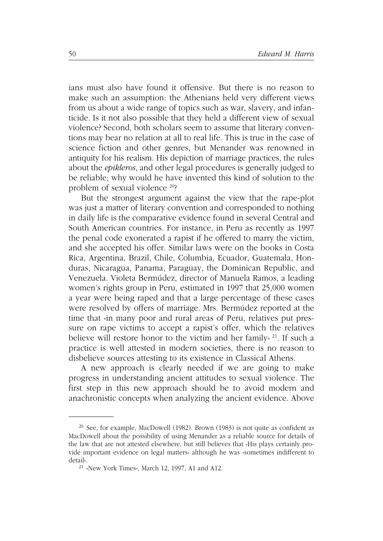ians must also have found it offensive. But there is no reason to make such an assumption: the Athenians held very different views from us about a wide range of topics such as war, slavery, and infanticide. Is it not also possible that they held a different view of sexual violence? Second, both scholars seem to assume that literary conventions may bear no relation at all to real life. This is true in the case of science fiction and other genres, but Menander was renowned in antiquity for his realism. His depiction of marriage practices, the rules about the *epikleros*, and other legal procedures is generally judged to be reliable; why would he have invented this kind of solution to the problem of sexual violence <sup>20</sup>?

But the strongest argument against the view that the rape-plot was just a matter of literary convention and corresponded to nothing in daily life is the comparative evidence found in several Central and South American countries. For instance, in Peru as recently as 1997 the penal code exonerated a rapist if he offered to marry the victim, and she accepted his offer. Similar laws were on the books in Costa Rica, Argentina, Brazil, Chile, Columbia, Ecuador, Guatemala, Honduras, Nicaragua, Panama, Paraguay, the Dominican Republic, and Venezuela. Violeta Bermúdez, director of Manuela Ramos, a leading women's rights group in Peru, estimated in 1997 that 25,000 women a year were being raped and that a large percentage of these cases were resolved by offers of marriage. Mrs. Bermúdez reported at the time that «in many poor and rural areas of Peru, relatives put pressure on rape victims to accept a rapist's offer, which the relatives believe will restore honor to the victim and her family» 21. If such a practice is well attested in modern societies, there is no reason to disbelieve sources attesting to its existence in Classical Athens.

A new approach is clearly needed if we are going to make progress in understanding ancient attitudes to sexual violence. The first step in this new approach should be to avoid modern and anachronistic concepts when analyzing the ancient evidence. Above

 $20$  See, for example, MacDowell (1982). Brown (1983) is not quite as confident as MacDowell about the possibility of using Menander as a reliable source for details of the law that are not attested elsewhere, but still believes that «His plays certainly provide important evidence on legal matters» although he was «sometimes indifferent to detail».

<sup>21</sup> «New York Times», March 12, 1997, A1 and A12.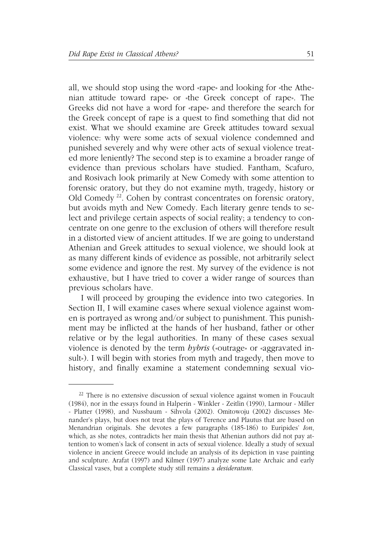all, we should stop using the word «rape» and looking for «the Athenian attitude toward rape» or «the Greek concept of rape». The Greeks did not have a word for «rape» and therefore the search for the Greek concept of rape is a quest to find something that did not exist. What we should examine are Greek attitudes toward sexual violence: why were some acts of sexual violence condemned and punished severely and why were other acts of sexual violence treated more leniently? The second step is to examine a broader range of evidence than previous scholars have studied. Fantham, Scafuro, and Rosivach look primarily at New Comedy with some attention to forensic oratory, but they do not examine myth, tragedy, history or Old Comedy 22. Cohen by contrast concentrates on forensic oratory, but avoids myth and New Comedy. Each literary genre tends to select and privilege certain aspects of social reality; a tendency to concentrate on one genre to the exclusion of others will therefore result in a distorted view of ancient attitudes. If we are going to understand Athenian and Greek attitudes to sexual violence, we should look at as many different kinds of evidence as possible, not arbitrarily select some evidence and ignore the rest. My survey of the evidence is not exhaustive, but I have tried to cover a wider range of sources than previous scholars have.

I will proceed by grouping the evidence into two categories. In Section II, I will examine cases where sexual violence against women is portrayed as wrong and/or subject to punishment. This punishment may be inflicted at the hands of her husband, father or other relative or by the legal authorities. In many of these cases sexual violence is denoted by the term *hybris* («outrage» or «aggravated insult»). I will begin with stories from myth and tragedy, then move to history, and finally examine a statement condemning sexual vio-

<sup>&</sup>lt;sup>22</sup> There is no extensive discussion of sexual violence against women in Foucault (1984), nor in the essays found in Halperin - Winkler - Zeitlin (1990), Larmour - Miller - Platter (1998), and Nussbaum - Sihvola (2002). Omitowoju (2002) discusses Menander's plays, but does not treat the plays of Terence and Plautus that are based on Menandrian originals. She devotes a few paragraphs (185-186) to Euripides' *Ion*, which, as she notes, contradicts her main thesis that Athenian authors did not pay attention to women's lack of consent in acts of sexual violence. Ideally a study of sexual violence in ancient Greece would include an analysis of its depiction in vase painting and sculpture. Arafat (1997) and Kilmer (1997) analyze some Late Archaic and early Classical vases, but a complete study still remains a *desideratum*.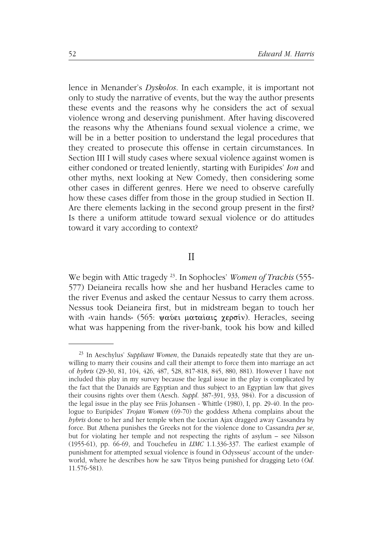lence in Menander's *Dyskolos*. In each example, it is important not only to study the narrative of events, but the way the author presents these events and the reasons why he considers the act of sexual violence wrong and deserving punishment. After having discovered the reasons why the Athenians found sexual violence a crime, we will be in a better position to understand the legal procedures that they created to prosecute this offense in certain circumstances. In Section III I will study cases where sexual violence against women is either condoned or treated leniently, starting with Euripides' *Ion* and other myths, next looking at New Comedy, then considering some other cases in different genres. Here we need to observe carefully how these cases differ from those in the group studied in Section II. Are there elements lacking in the second group present in the first? Is there a uniform attitude toward sexual violence or do attitudes toward it vary according to context?

### II

We begin with Attic tragedy 23. In Sophocles' *Women of Trachis* (555- 577) Deianeira recalls how she and her husband Heracles came to the river Evenus and asked the centaur Nessus to carry them across. Nessus took Deianeira first, but in midstream began to touch her with «vain hands» (565:  $\psi \alpha \hat{\nu} \epsilon_1$  ματαίαις χερσίν). Heracles, seeing what was happening from the river-bank, took his bow and killed

<sup>23</sup> In Aeschylus' *Suppliant Women*, the Danaids repeatedly state that they are unwilling to marry their cousins and call their attempt to force them into marriage an act of *hybris* (29-30, 81, 104, 426, 487, 528, 817-818, 845, 880, 881). However I have not included this play in my survey because the legal issue in the play is complicated by the fact that the Danaids are Egyptian and thus subject to an Egyptian law that gives their cousins rights over them (Aesch. *Suppl*. 387-391, 933, 984). For a discussion of the legal issue in the play see Friis Johansen - Whittle (1980), I, pp. 29-40. In the prologue to Euripides' *Trojan Women* (69-70) the goddess Athena complains about the *hybris* done to her and her temple when the Locrian Ajax dragged away Cassandra by force. But Athena punishes the Greeks not for the violence done to Cassandra *per se*, but for violating her temple and not respecting the rights of asylum – see Nilsson (1955-61), pp. 66-69, and Touchefeu in *LIMC* 1.1.336-337. The earliest example of punishment for attempted sexual violence is found in Odysseus' account of the underworld, where he describes how he saw Tityos being punished for dragging Leto (*Od*. 11.576-581).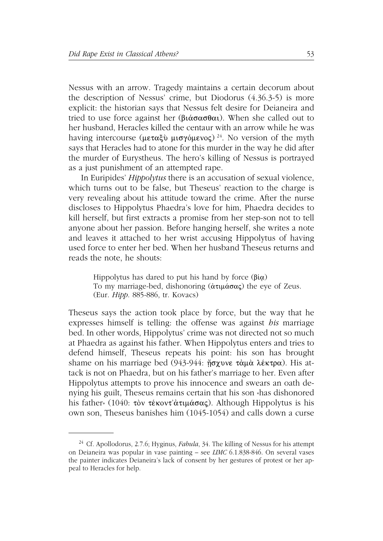Nessus with an arrow. Tragedy maintains a certain decorum about the description of Nessus' crime, but Diodorus (4.36.3-5) is more explicit: the historian says that Nessus felt desire for Deianeira and tried to use force against her ( $\beta$ ιάσασθαι). When she called out to her husband, Heracles killed the centaur with an arrow while he was having intercourse ( $\mu \in \alpha \xi$ )  $\mu \in \gamma$  ( $\mu \in \alpha$ )  $^{24}$ . No version of the myth says that Heracles had to atone for this murder in the way he did after the murder of Eurystheus. The hero's killing of Nessus is portrayed as a just punishment of an attempted rape.

In Euripides' *Hippolytus* there is an accusation of sexual violence, which turns out to be false, but Theseus' reaction to the charge is very revealing about his attitude toward the crime. After the nurse discloses to Hippolytus Phaedra's love for him, Phaedra decides to kill herself, but first extracts a promise from her step-son not to tell anyone about her passion. Before hanging herself, she writes a note and leaves it attached to her wrist accusing Hippolytus of having used force to enter her bed. When her husband Theseus returns and reads the note, he shouts:

> Hippolytus has dared to put his hand by force  $(\beta \alpha)$ To my marriage-bed, dishonoring  $(\alpha \tau \mu \alpha \sigma \alpha \zeta)$  the eye of Zeus. (Eur. *Hipp*. 885-886, tr. Kovacs)

Theseus says the action took place by force, but the way that he expresses himself is telling: the offense was against *his* marriage bed. In other words, Hippolytus' crime was not directed not so much at Phaedra as against his father. When Hippolytus enters and tries to defend himself, Theseus repeats his point: his son has brought shame on his marriage bed (943-944:  $\eta \sigma \chi$  vve  $\tau \alpha \mu \alpha$ ). His attack is not on Phaedra, but on his father's marriage to her. Even after Hippolytus attempts to prove his innocence and swears an oath denying his guilt, Theseus remains certain that his son «has dishonored his father» (1040: τὸν τέκοντ'ἀτιμάσας). Although Hippolytus is his own son, Theseus banishes him (1045-1054) and calls down a curse

<sup>24</sup> Cf. Apollodorus, 2.7.6; Hyginus, *Fabula*, 34. The killing of Nessus for his attempt on Deianeira was popular in vase painting – see *LIMC* 6.1.838-846. On several vases the painter indicates Deianeira's lack of consent by her gestures of protest or her appeal to Heracles for help.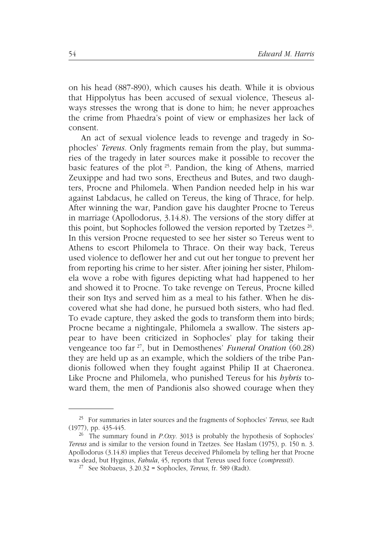on his head (887-890), which causes his death. While it is obvious that Hippolytus has been accused of sexual violence, Theseus always stresses the wrong that is done to him; he never approaches the crime from Phaedra's point of view or emphasizes her lack of consent.

An act of sexual violence leads to revenge and tragedy in Sophocles' *Tereus*. Only fragments remain from the play, but summaries of the tragedy in later sources make it possible to recover the basic features of the plot 25. Pandion, the king of Athens, married Zeuxippe and had two sons, Erectheus and Butes, and two daughters, Procne and Philomela. When Pandion needed help in his war against Labdacus, he called on Tereus, the king of Thrace, for help. After winning the war, Pandion gave his daughter Procne to Tereus in marriage (Apollodorus, 3.14.8). The versions of the story differ at this point, but Sophocles followed the version reported by Tzetzes 26. In this version Procne requested to see her sister so Tereus went to Athens to escort Philomela to Thrace. On their way back, Tereus used violence to deflower her and cut out her tongue to prevent her from reporting his crime to her sister. After joining her sister, Philomela wove a robe with figures depicting what had happened to her and showed it to Procne. To take revenge on Tereus, Procne killed their son Itys and served him as a meal to his father. When he discovered what she had done, he pursued both sisters, who had fled. To evade capture, they asked the gods to transform them into birds; Procne became a nightingale, Philomela a swallow. The sisters appear to have been criticized in Sophocles' play for taking their vengeance too far 27, but in Demosthenes' *Funeral Oration* (60.28) they are held up as an example, which the soldiers of the tribe Pandionis followed when they fought against Philip II at Chaeronea. Like Procne and Philomela, who punished Tereus for his *hybris* toward them, the men of Pandionis also showed courage when they

<sup>25</sup> For summaries in later sources and the fragments of Sophocles' *Tereus*, see Radt (1977), pp. 435-445.

<sup>26</sup> The summary found in *P.Oxy*. 3013 is probably the hypothesis of Sophocles' *Tereus* and is similar to the version found in Tzetzes. See Haslam (1975), p. 150 n. 3. Apollodorus (3.14.8) implies that Tereus deceived Philomela by telling her that Procne was dead, but Hyginus, *Fabula*, 45, reports that Tereus used force (*compressit*).

<sup>27</sup> See Stobaeus, 3.20.32 = Sophocles, *Tereus*, fr. 589 (Radt).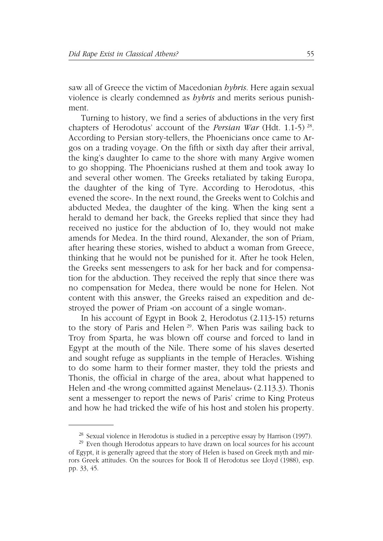saw all of Greece the victim of Macedonian *hybris*. Here again sexual violence is clearly condemned as *hybris* and merits serious punishment.

Turning to history, we find a series of abductions in the very first chapters of Herodotus' account of the *Persian War* (Hdt. 1.1-5) 28. According to Persian story-tellers, the Phoenicians once came to Argos on a trading voyage. On the fifth or sixth day after their arrival, the king's daughter Io came to the shore with many Argive women to go shopping. The Phoenicians rushed at them and took away Io and several other women. The Greeks retaliated by taking Europa, the daughter of the king of Tyre. According to Herodotus, «this evened the score». In the next round, the Greeks went to Colchis and abducted Medea, the daughter of the king. When the king sent a herald to demand her back, the Greeks replied that since they had received no justice for the abduction of Io, they would not make amends for Medea. In the third round, Alexander, the son of Priam, after hearing these stories, wished to abduct a woman from Greece, thinking that he would not be punished for it. After he took Helen, the Greeks sent messengers to ask for her back and for compensation for the abduction. They received the reply that since there was no compensation for Medea, there would be none for Helen. Not content with this answer, the Greeks raised an expedition and destroyed the power of Priam «on account of a single woman».

In his account of Egypt in Book 2, Herodotus (2.113-15) returns to the story of Paris and Helen 29. When Paris was sailing back to Troy from Sparta, he was blown off course and forced to land in Egypt at the mouth of the Nile. There some of his slaves deserted and sought refuge as suppliants in the temple of Heracles. Wishing to do some harm to their former master, they told the priests and Thonis, the official in charge of the area, about what happened to Helen and «the wrong committed against Menelaus» (2.113.3). Thonis sent a messenger to report the news of Paris' crime to King Proteus and how he had tricked the wife of his host and stolen his property.

<sup>&</sup>lt;sup>28</sup> Sexual violence in Herodotus is studied in a perceptive essay by Harrison (1997).

 $29$  Even though Herodotus appears to have drawn on local sources for his account of Egypt, it is generally agreed that the story of Helen is based on Greek myth and mirrors Greek attitudes. On the sources for Book II of Herodotus see Lloyd (1988), esp. pp. 33, 45.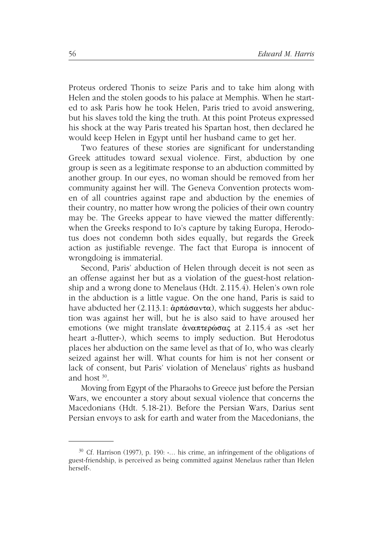Proteus ordered Thonis to seize Paris and to take him along with Helen and the stolen goods to his palace at Memphis. When he started to ask Paris how he took Helen, Paris tried to avoid answering, but his slaves told the king the truth. At this point Proteus expressed his shock at the way Paris treated his Spartan host, then declared he would keep Helen in Egypt until her husband came to get her.

Two features of these stories are significant for understanding Greek attitudes toward sexual violence. First, abduction by one group is seen as a legitimate response to an abduction committed by another group. In our eyes, no woman should be removed from her community against her will. The Geneva Convention protects women of all countries against rape and abduction by the enemies of their country, no matter how wrong the policies of their own country may be. The Greeks appear to have viewed the matter differently: when the Greeks respond to Io's capture by taking Europa, Herodotus does not condemn both sides equally, but regards the Greek action as justifiable revenge. The fact that Europa is innocent of wrongdoing is immaterial.

Second, Paris' abduction of Helen through deceit is not seen as an offense against her but as a violation of the guest-host relationship and a wrong done to Menelaus (Hdt. 2.115.4). Helen's own role in the abduction is a little vague. On the one hand, Paris is said to have abducted her (2.113.1:  $\&{\varphi}\pi\&{\alpha}\sigma\alpha\nu\tau\alpha$ ), which suggests her abduction was against her will, but he is also said to have aroused her emotions (we might translate  $\alpha$ ναπτερώσας at 2.115.4 as «set her heart a-flutter»), which seems to imply seduction. But Herodotus places her abduction on the same level as that of Io, who was clearly seized against her will. What counts for him is not her consent or lack of consent, but Paris' violation of Menelaus' rights as husband and host 30.

Moving from Egypt of the Pharaohs to Greece just before the Persian Wars, we encounter a story about sexual violence that concerns the Macedonians (Hdt. 5.18-21). Before the Persian Wars, Darius sent Persian envoys to ask for earth and water from the Macedonians, the

 $30$  Cf. Harrison (1997), p. 190: «... his crime, an infringement of the obligations of guest-friendship, is perceived as being committed against Menelaus rather than Helen herself».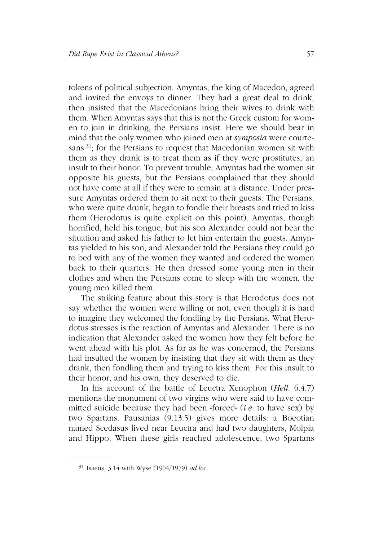tokens of political subjection. Amyntas, the king of Macedon, agreed and invited the envoys to dinner. They had a great deal to drink, then insisted that the Macedonians bring their wives to drink with them. When Amyntas says that this is not the Greek custom for women to join in drinking, the Persians insist. Here we should bear in mind that the only women who joined men at *symposia* were courtesans <sup>31</sup>; for the Persians to request that Macedonian women sit with them as they drank is to treat them as if they were prostitutes, an insult to their honor. To prevent trouble, Amyntas had the women sit opposite his guests, but the Persians complained that they should not have come at all if they were to remain at a distance. Under pressure Amyntas ordered them to sit next to their guests. The Persians, who were quite drunk, began to fondle their breasts and tried to kiss them (Herodotus is quite explicit on this point). Amyntas, though horrified, held his tongue, but his son Alexander could not bear the situation and asked his father to let him entertain the guests. Amyntas yielded to his son, and Alexander told the Persians they could go to bed with any of the women they wanted and ordered the women back to their quarters. He then dressed some young men in their clothes and when the Persians come to sleep with the women, the young men killed them.

The striking feature about this story is that Herodotus does not say whether the women were willing or not, even though it is hard to imagine they welcomed the fondling by the Persians. What Herodotus stresses is the reaction of Amyntas and Alexander. There is no indication that Alexander asked the women how they felt before he went ahead with his plot. As far as he was concerned, the Persians had insulted the women by insisting that they sit with them as they drank, then fondling them and trying to kiss them. For this insult to their honor, and his own, they deserved to die.

In his account of the battle of Leuctra Xenophon (*Hell.* 6.4.7) mentions the monument of two virgins who were said to have committed suicide because they had been «forced» (*i.e.* to have sex) by two Spartans. Pausanias (9.13.5) gives more details: a Boeotian named Scedasus lived near Leuctra and had two daughters, Molpia and Hippo. When these girls reached adolescence, two Spartans

<sup>31</sup> Isaeus, 3.14 with Wyse (1904/1979) *ad loc*.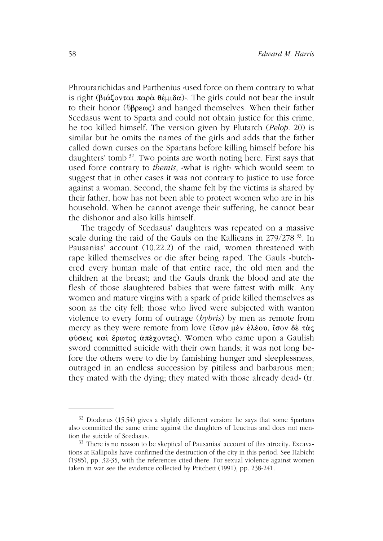Phrourarichidas and Parthenius «used force on them contrary to what is right ( $\beta i \alpha \zeta$ ovtai  $\pi \alpha \rho \alpha \theta \zeta \mu i \delta \alpha$ )». The girls could not bear the insult to their honor (ΰβρεως) and hanged themselves. When their father Scedasus went to Sparta and could not obtain justice for this crime, he too killed himself. The version given by Plutarch (*Pelop*. 20) is similar but he omits the names of the girls and adds that the father called down curses on the Spartans before killing himself before his daughters' tomb 32. Two points are worth noting here. First says that used force contrary to *themis*, «what is right» which would seem to suggest that in other cases it was not contrary to justice to use force against a woman. Second, the shame felt by the victims is shared by their father, how has not been able to protect women who are in his household. When he cannot avenge their suffering, he cannot bear the dishonor and also kills himself.

The tragedy of Scedasus' daughters was repeated on a massive scale during the raid of the Gauls on the Kallieans in 279/278 33. In Pausanias' account (10.22.2) of the raid, women threatened with rape killed themselves or die after being raped. The Gauls «butchered every human male of that entire race, the old men and the children at the breast; and the Gauls drank the blood and ate the flesh of those slaughtered babies that were fattest with milk. Any women and mature virgins with a spark of pride killed themselves as soon as the city fell; those who lived were subjected with wanton violence to every form of outrage (*hybris*) by men as remote from mercy as they were remote from love ( $\check{i}$ σον μὲν ἐλέου,  $\check{i}$ σον δὲ τὰς φύσεις καὶ ἔρωτος ἀπέχοντες). Women who came upon a Gaulish sword committed suicide with their own hands; it was not long before the others were to die by famishing hunger and sleeplessness, outraged in an endless succession by pitiless and barbarous men; they mated with the dying; they mated with those already dead» (tr.

 $32$  Diodorus (15.54) gives a slightly different version: he says that some Spartans also committed the same crime against the daughters of Leuctrus and does not mention the suicide of Scedasus.

<sup>33</sup> There is no reason to be skeptical of Pausanias' account of this atrocity. Excavations at Kallipolis have confirmed the destruction of the city in this period. See Habicht (1985), pp. 32-35, with the references cited there. For sexual violence against women taken in war see the evidence collected by Pritchett (1991), pp. 238-241.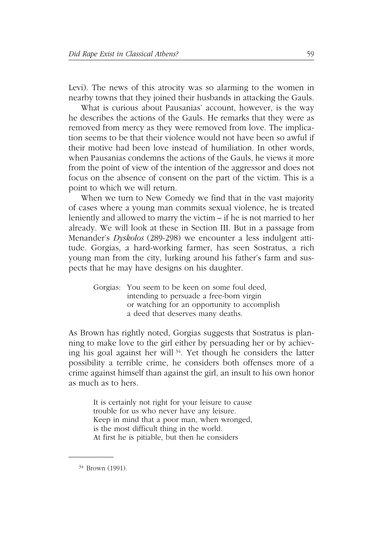Levi). The news of this atrocity was so alarming to the women in nearby towns that they joined their husbands in attacking the Gauls.

What is curious about Pausanias' account, however, is the way he describes the actions of the Gauls. He remarks that they were as removed from mercy as they were removed from love. The implication seems to be that their violence would not have been so awful if their motive had been love instead of humiliation. In other words, when Pausanias condemns the actions of the Gauls, he views it more from the point of view of the intention of the aggressor and does not focus on the absence of consent on the part of the victim. This is a point to which we will return.

When we turn to New Comedy we find that in the vast majority of cases where a young man commits sexual violence, he is treated leniently and allowed to marry the victim – if he is not married to her already. We will look at these in Section III. But in a passage from Menander's *Dyskolos* (289-298) we encounter a less indulgent attitude. Gorgias, a hard-working farmer, has seen Sostratus, a rich young man from the city, lurking around his father's farm and suspects that he may have designs on his daughter.

> Gorgias: You seem to be keen on some foul deed, intending to persuade a free-born virgin or watching for an opportunity to accomplish a deed that deserves many deaths.

As Brown has rightly noted, Gorgias suggests that Sostratus is planning to make love to the girl either by persuading her or by achieving his goal against her will 34. Yet though he considers the latter possibility a terrible crime, he considers both offenses more of a crime against himself than against the girl, an insult to his own honor as much as to hers.

> It is certainly not right for your leisure to cause trouble for us who never have any leisure. Keep in mind that a poor man, when wronged, is the most difficult thing in the world. At first he is pitiable, but then he considers

 $34$  Brown (1991).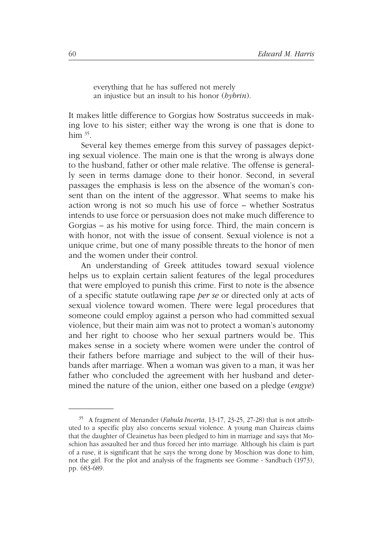everything that he has suffered not merely an injustice but an insult to his honor (*hybrin*).

It makes little difference to Gorgias how Sostratus succeeds in making love to his sister; either way the wrong is one that is done to him 35.

Several key themes emerge from this survey of passages depicting sexual violence. The main one is that the wrong is always done to the husband, father or other male relative. The offense is generally seen in terms damage done to their honor. Second, in several passages the emphasis is less on the absence of the woman's consent than on the intent of the aggressor. What seems to make his action wrong is not so much his use of force – whether Sostratus intends to use force or persuasion does not make much difference to Gorgias – as his motive for using force. Third, the main concern is with honor, not with the issue of consent. Sexual violence is not a unique crime, but one of many possible threats to the honor of men and the women under their control.

An understanding of Greek attitudes toward sexual violence helps us to explain certain salient features of the legal procedures that were employed to punish this crime. First to note is the absence of a specific statute outlawing rape *per se* or directed only at acts of sexual violence toward women. There were legal procedures that someone could employ against a person who had committed sexual violence, but their main aim was not to protect a woman's autonomy and her right to choose who her sexual partners would be. This makes sense in a society where women were under the control of their fathers before marriage and subject to the will of their husbands after marriage. When a woman was given to a man, it was her father who concluded the agreement with her husband and determined the nature of the union, either one based on a pledge (*engye*)

<sup>35</sup> A fragment of Menander (*Fabula Incerta*, 13-17, 23-25, 27-28) that is not attributed to a specific play also concerns sexual violence. A young man Chaireas claims that the daughter of Cleainetus has been pledged to him in marriage and says that Moschion has assaulted her and thus forced her into marriage. Although his claim is part of a ruse, it is significant that he says the wrong done by Moschion was done to him, not the girl. For the plot and analysis of the fragments see Gomme - Sandbach (1973), pp. 683-689.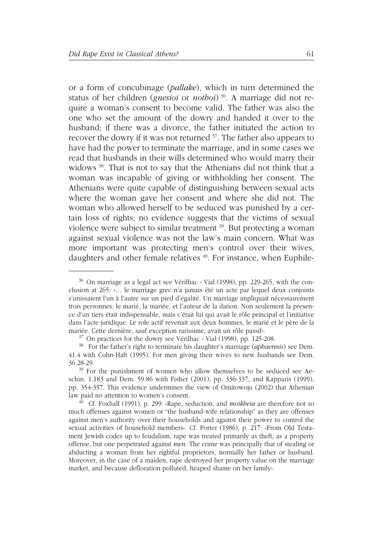or a form of concubinage (*pallake*), which in turn determined the status of her children (*gnesioi* or *nothoi*) 36. A marriage did not require a woman's consent to become valid. The father was also the one who set the amount of the dowry and handed it over to the husband; if there was a divorce, the father initiated the action to recover the dowry if it was not returned <sup>37</sup>. The father also appears to have had the power to terminate the marriage, and in some cases we read that husbands in their wills determined who would marry their widows 38. That is not to say that the Athenians did not think that a woman was incapable of giving or withholding her consent. The Athenians were quite capable of distinguishing between sexual acts where the woman gave her consent and where she did not. The woman who allowed herself to be seduced was punished by a certain loss of rights; no evidence suggests that the victims of sexual violence were subject to similar treatment 39. But protecting a woman against sexual violence was not the law's main concern. What was more important was protecting men's control over their wives, daughters and other female relatives <sup>40</sup>. For instance, when Euphile-

 $36$  On marriage as a legal act see Vérilhac - Vial (1998), pp. 229-265, with the conclusion at 265: «… le marriage grec n'a jamais été un acte par lequel deux conjoints s'unissaient l'un à l'autre sur un pied d'égalité. Un marriage impliquait nécessairement trois personnes: le marié, la mariée, et l'auteur de la dation. Non seulement la presence d'un tiers était indispensable, mais c'était lui qui avait le rôle principal et l'initiative dans l'acte juridique. Le role actif revenait aux deux hommes, le marié et le père de la mariée. Cette dernière, sauf exception rarissime, avait un rôle passif».

<sup>37</sup> On practices for the dowry see Vérilhac - Vial (1998), pp. 125-208.

<sup>38</sup> For the father's right to terminate his daughter's marriage (*aphaeresis*) see Dem. 41.4 with Cohn-Haft (1995). For men giving their wives to new husbands see Dem. 36.28-29.

<sup>&</sup>lt;sup>39</sup> For the punishment of women who allow themselves to be seduced see Aeschin. 1.183 and Dem. 59.86 with Fisher (2001), pp. 336-337, and Kapparis (1999), pp. 354-357. This evidence undermines the view of Omitowoju (2002) that Athenian law paid no attention to women's consent.

<sup>40</sup> Cf. Foxhall (1991), p. 299: «Rape, seduction, and *moikheia* are therefore not so much offenses against women or "the husband-wife relationship" as they are offenses against men's authority over their households and against their power to control the sexual activities of household members». Cf. Porter (1986), p. 217: «From Old Testament Jewish codes up to feudalism, rape was treated primarily as theft, as a property offense, but one perpetrated against *men*. The crime was principally that of stealing or abducting a woman from her rightful proprietors, normally her father or husband. Moreover, in the case of a maiden, rape destroyed her property value on the marriage market, and because defloration polluted, heaped shame on her family».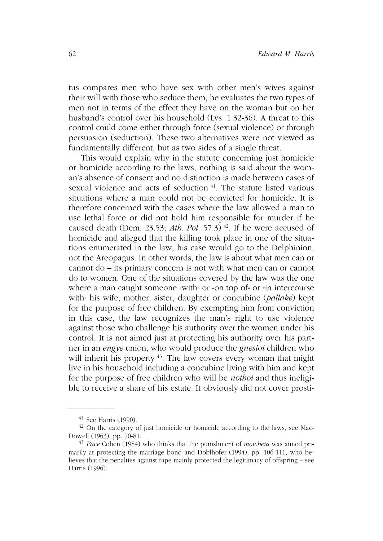tus compares men who have sex with other men's wives against their will with those who seduce them, he evaluates the two types of men not in terms of the effect they have on the woman but on her husband's control over his household (Lys. 1.32-36). A threat to this control could come either through force (sexual violence) or through persuasion (seduction). These two alternatives were not viewed as fundamentally different, but as two sides of a single threat.

This would explain why in the statute concerning just homicide or homicide according to the laws, nothing is said about the woman's absence of consent and no distinction is made between cases of sexual violence and acts of seduction <sup>41</sup>. The statute listed various situations where a man could not be convicted for homicide. It is therefore concerned with the cases where the law allowed a man to use lethal force or did not hold him responsible for murder if he caused death (Dem. 23.53; Ath. Pol. 57.3)<sup>42</sup>. If he were accused of homicide and alleged that the killing took place in one of the situations enumerated in the law, his case would go to the Delphinion, not the Areopagus. In other words, the law is about what men can or cannot do – its primary concern is not with what men can or cannot do to women. One of the situations covered by the law was the one where a man caught someone «with» or «on top of» or «in intercourse with» his wife, mother, sister, daughter or concubine (*pallake*) kept for the purpose of free children. By exempting him from conviction in this case, the law recognizes the man's right to use violence against those who challenge his authority over the women under his control. It is not aimed just at protecting his authority over his partner in an *engye* union, who would produce the *gnesioi* children who will inherit his property <sup>43</sup>. The law covers every woman that might live in his household including a concubine living with him and kept for the purpose of free children who will be *nothoi* and thus ineligible to receive a share of his estate. It obviously did not cover prosti-

<sup>41</sup> See Harris (1990).

 $42$  On the category of just homicide or homicide according to the laws, see Mac-Dowell (1963), pp. 70-81.

<sup>43</sup> *Pace* Cohen (1984) who thinks that the punishment of *moicheia* was aimed primarily at protecting the marriage bond and Doblhofer (1994), pp. 106-111, who believes that the penalties against rape mainly protected the legitimacy of offspring – see Harris (1996).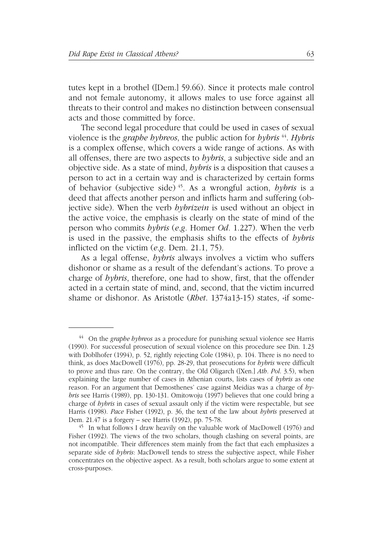tutes kept in a brothel ([Dem.] 59.66). Since it protects male control and not female autonomy, it allows males to use force against all threats to their control and makes no distinction between consensual acts and those committed by force.

The second legal procedure that could be used in cases of sexual violence is the *graphe hybreos*, the public action for *hybris* <sup>44</sup>. *Hybris* is a complex offense, which covers a wide range of actions. As with all offenses, there are two aspects to *hybris*, a subjective side and an objective side. As a state of mind, *hybris* is a disposition that causes a person to act in a certain way and is characterized by certain forms of behavior (subjective side) 45. As a wrongful action, *hybris* is a deed that affects another person and inflicts harm and suffering (objective side). When the verb *hybrizein* is used without an object in the active voice, the emphasis is clearly on the state of mind of the person who commits *hybris* (*e.g.* Homer *Od.* 1.227). When the verb is used in the passive, the emphasis shifts to the effects of *hybris* inflicted on the victim (*e.g.* Dem. 21.1, 75).

As a legal offense, *hybris* always involves a victim who suffers dishonor or shame as a result of the defendant's actions. To prove a charge of *hybris*, therefore, one had to show, first, that the offender acted in a certain state of mind, and, second, that the victim incurred shame or dishonor. As Aristotle (*Rhet*. 1374a13-15) states, «if some-

<sup>44</sup> On the *graphe hybreos* as a procedure for punishing sexual violence see Harris (1990). For successful prosecution of sexual violence on this procedure see Din. 1.23 with Doblhofer (1994), p. 52, rightly rejecting Cole (1984), p. 104. There is no need to think, as does MacDowell (1976), pp. 28-29, that prosecutions for *hybris* were difficult to prove and thus rare. On the contrary, the Old Oligarch ([Xen.] *Ath*. *Pol*. 3.5), when explaining the large number of cases in Athenian courts, lists cases of *hybris* as one reason. For an argument that Demosthenes' case against Meidias was a charge of *hybris* see Harris (1989), pp. 130-131. Omitowoju (1997) believes that one could bring a charge of *hybris* in cases of sexual assault only if the victim were respectable, but see Harris (1998). *Pace* Fisher (1992), p. 36, the text of the law about *hybris* preserved at Dem. 21.47 is a forgery – see Harris (1992), pp. 75-78.

<sup>&</sup>lt;sup>45</sup> In what follows I draw heavily on the valuable work of MacDowell (1976) and Fisher (1992). The views of the two scholars, though clashing on several points, are not incompatible. Their differences stem mainly from the fact that each emphasizes a separate side of *hybris*: MacDowell tends to stress the subjective aspect, while Fisher concentrates on the objective aspect. As a result, both scholars argue to some extent at cross-purposes.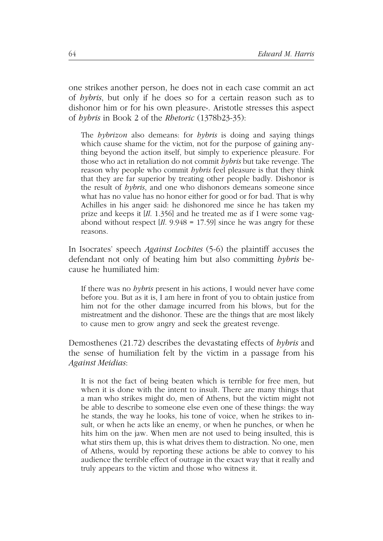one strikes another person, he does not in each case commit an act of *hybris*, but only if he does so for a certain reason such as to dishonor him or for his own pleasure». Aristotle stresses this aspect of *hybris* in Book 2 of the *Rhetoric* (1378b23-35):

The *hybrizon* also demeans: for *hybris* is doing and saying things which cause shame for the victim, not for the purpose of gaining anything beyond the action itself, but simply to experience pleasure. For those who act in retaliation do not commit *hybris* but take revenge. The reason why people who commit *hybris* feel pleasure is that they think that they are far superior by treating other people badly. Dishonor is the result of *hybris*, and one who dishonors demeans someone since what has no value has no honor either for good or for bad. That is why Achilles in his anger said: he dishonored me since he has taken my prize and keeps it [*Il*. 1.356] and he treated me as if I were some vagabond without respect [*Il*. 9.948 = 17.59] since he was angry for these reasons.

In Isocrates' speech *Against Lochites* (5-6) the plaintiff accuses the defendant not only of beating him but also committing *hybris* because he humiliated him:

If there was no *hybris* present in his actions, I would never have come before you. But as it is, I am here in front of you to obtain justice from him not for the other damage incurred from his blows, but for the mistreatment and the dishonor. These are the things that are most likely to cause men to grow angry and seek the greatest revenge.

Demosthenes (21.72) describes the devastating effects of *hybris* and the sense of humiliation felt by the victim in a passage from his *Against Meidias*:

It is not the fact of being beaten which is terrible for free men, but when it is done with the intent to insult. There are many things that a man who strikes might do, men of Athens, but the victim might not be able to describe to someone else even one of these things: the way he stands, the way he looks, his tone of voice, when he strikes to insult, or when he acts like an enemy, or when he punches, or when he hits him on the jaw. When men are not used to being insulted, this is what stirs them up, this is what drives them to distraction. No one, men of Athens, would by reporting these actions be able to convey to his audience the terrible effect of outrage in the exact way that it really and truly appears to the victim and those who witness it.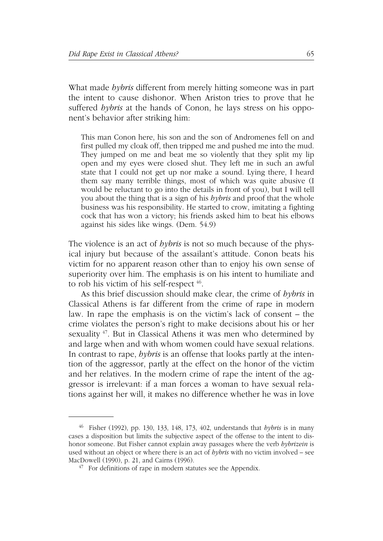What made *hybris* different from merely hitting someone was in part the intent to cause dishonor. When Ariston tries to prove that he suffered *hybris* at the hands of Conon, he lays stress on his opponent's behavior after striking him:

This man Conon here, his son and the son of Andromenes fell on and first pulled my cloak off, then tripped me and pushed me into the mud. They jumped on me and beat me so violently that they split my lip open and my eyes were closed shut. They left me in such an awful state that I could not get up nor make a sound. Lying there, I heard them say many terrible things, most of which was quite abusive (I would be reluctant to go into the details in front of you), but I will tell you about the thing that is a sign of his *hybris* and proof that the whole business was his responsibility. He started to crow, imitating a fighting cock that has won a victory; his friends asked him to beat his elbows against his sides like wings. (Dem. 54.9)

The violence is an act of *hybris* is not so much because of the physical injury but because of the assailant's attitude. Conon beats his victim for no apparent reason other than to enjoy his own sense of superiority over him. The emphasis is on his intent to humiliate and to rob his victim of his self-respect 46.

As this brief discussion should make clear, the crime of *hybris* in Classical Athens is far different from the crime of rape in modern law. In rape the emphasis is on the victim's lack of consent – the crime violates the person's right to make decisions about his or her sexuality 47. But in Classical Athens it was men who determined by and large when and with whom women could have sexual relations. In contrast to rape, *hybris* is an offense that looks partly at the intention of the aggressor, partly at the effect on the honor of the victim and her relatives. In the modern crime of rape the intent of the aggressor is irrelevant: if a man forces a woman to have sexual relations against her will, it makes no difference whether he was in love

<sup>46</sup> Fisher (1992), pp. 130, 133, 148, 173, 402, understands that *hybris* is in many cases a disposition but limits the subjective aspect of the offense to the intent to dishonor someone. But Fisher cannot explain away passages where the verb *hybrizein* is used without an object or where there is an act of *hybris* with no victim involved – see MacDowell (1990), p. 21, and Cairns (1996).

 $47$  For definitions of rape in modern statutes see the Appendix.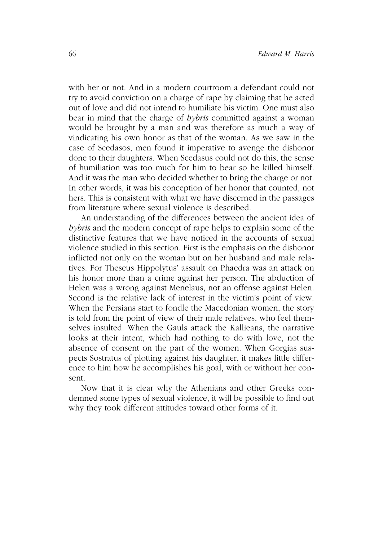with her or not. And in a modern courtroom a defendant could not try to avoid conviction on a charge of rape by claiming that he acted out of love and did not intend to humiliate his victim. One must also bear in mind that the charge of *hybris* committed against a woman would be brought by a man and was therefore as much a way of vindicating his own honor as that of the woman. As we saw in the case of Scedasos, men found it imperative to avenge the dishonor done to their daughters. When Scedasus could not do this, the sense of humiliation was too much for him to bear so he killed himself. And it was the man who decided whether to bring the charge or not. In other words, it was his conception of her honor that counted, not hers. This is consistent with what we have discerned in the passages from literature where sexual violence is described.

An understanding of the differences between the ancient idea of *hybris* and the modern concept of rape helps to explain some of the distinctive features that we have noticed in the accounts of sexual violence studied in this section. First is the emphasis on the dishonor inflicted not only on the woman but on her husband and male relatives. For Theseus Hippolytus' assault on Phaedra was an attack on his honor more than a crime against her person. The abduction of Helen was a wrong against Menelaus, not an offense against Helen. Second is the relative lack of interest in the victim's point of view. When the Persians start to fondle the Macedonian women, the story is told from the point of view of their male relatives, who feel themselves insulted. When the Gauls attack the Kallieans, the narrative looks at their intent, which had nothing to do with love, not the absence of consent on the part of the women. When Gorgias suspects Sostratus of plotting against his daughter, it makes little difference to him how he accomplishes his goal, with or without her consent.

Now that it is clear why the Athenians and other Greeks condemned some types of sexual violence, it will be possible to find out why they took different attitudes toward other forms of it.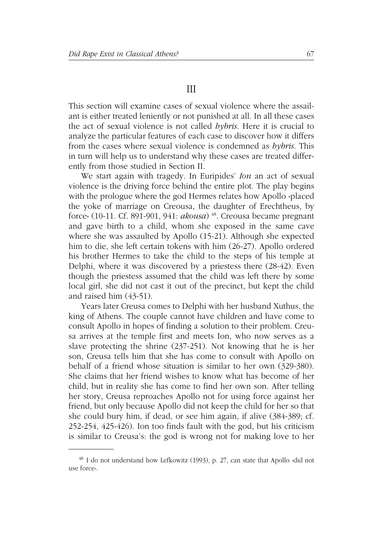#### III

This section will examine cases of sexual violence where the assailant is either treated leniently or not punished at all. In all these cases the act of sexual violence is not called *hybris*. Here it is crucial to analyze the particular features of each case to discover how it differs from the cases where sexual violence is condemned as *hybris*. This in turn will help us to understand why these cases are treated differently from those studied in Section II.

We start again with tragedy. In Euripides' *Ion* an act of sexual violence is the driving force behind the entire plot. The play begins with the prologue where the god Hermes relates how Apollo «placed the yoke of marriage on Creousa, the daughter of Erechtheus, by force» (10-11. Cf. 891-901, 941: *akousa*) 48. Creousa became pregnant and gave birth to a child, whom she exposed in the same cave where she was assaulted by Apollo (15-21). Although she expected him to die, she left certain tokens with him (26-27). Apollo ordered his brother Hermes to take the child to the steps of his temple at Delphi, where it was discovered by a priestess there (28-42). Even though the priestess assumed that the child was left there by some local girl, she did not cast it out of the precinct, but kept the child and raised him (43-51).

Years later Creusa comes to Delphi with her husband Xuthus, the king of Athens. The couple cannot have children and have come to consult Apollo in hopes of finding a solution to their problem. Creusa arrives at the temple first and meets Ion, who now serves as a slave protecting the shrine (237-251). Not knowing that he is her son, Creusa tells him that she has come to consult with Apollo on behalf of a friend whose situation is similar to her own (329-380). She claims that her friend wishes to know what has become of her child, but in reality she has come to find her own son. After telling her story, Creusa reproaches Apollo not for using force against her friend, but only because Apollo did not keep the child for her so that she could bury him, if dead, or see him again, if alive (384-389; cf. 252-254, 425-426). Ion too finds fault with the god, but his criticism is similar to Creusa's: the god is wrong not for making love to her

<sup>48</sup> I do not understand how Lefkowitz (1993), p. 27, can state that Apollo «did not use force».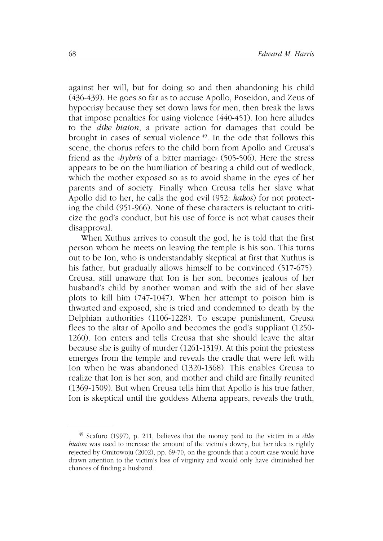against her will, but for doing so and then abandoning his child (436-439). He goes so far as to accuse Apollo, Poseidon, and Zeus of hypocrisy because they set down laws for men, then break the laws that impose penalties for using violence (440-451). Ion here alludes to the *dike biaion*, a private action for damages that could be brought in cases of sexual violence 49. In the ode that follows this scene, the chorus refers to the child born from Apollo and Creusa's friend as the «*hybris* of a bitter marriage» (505-506). Here the stress appears to be on the humiliation of bearing a child out of wedlock, which the mother exposed so as to avoid shame in the eyes of her parents and of society. Finally when Creusa tells her slave what Apollo did to her, he calls the god evil (952: *kakos*) for not protecting the child (951-966). None of these characters is reluctant to criticize the god's conduct, but his use of force is not what causes their disapproval.

When Xuthus arrives to consult the god, he is told that the first person whom he meets on leaving the temple is his son. This turns out to be Ion, who is understandably skeptical at first that Xuthus is his father, but gradually allows himself to be convinced (517-675). Creusa, still unaware that Ion is her son, becomes jealous of her husband's child by another woman and with the aid of her slave plots to kill him (747-1047). When her attempt to poison him is thwarted and exposed, she is tried and condemned to death by the Delphian authorities (1106-1228). To escape punishment, Creusa flees to the altar of Apollo and becomes the god's suppliant (1250- 1260). Ion enters and tells Creusa that she should leave the altar because she is guilty of murder (1261-1319). At this point the priestess emerges from the temple and reveals the cradle that were left with Ion when he was abandoned (1320-1368). This enables Creusa to realize that Ion is her son, and mother and child are finally reunited (1369-1509). But when Creusa tells him that Apollo is his true father, Ion is skeptical until the goddess Athena appears, reveals the truth,

<sup>49</sup> Scafuro (1997), p. 211, believes that the money paid to the victim in a *dike biaion* was used to increase the amount of the victim's dowry, but her idea is rightly rejected by Omitowoju (2002), pp. 69-70, on the grounds that a court case would have drawn attention to the victim's loss of virginity and would only have diminished her chances of finding a husband.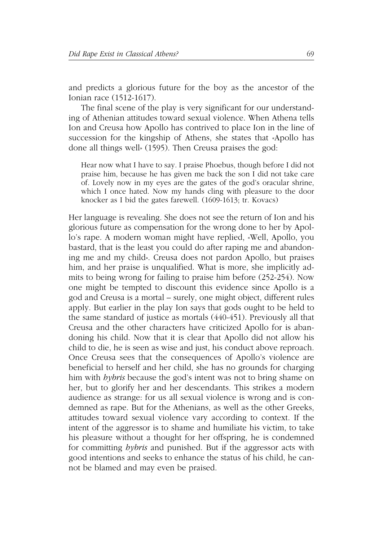and predicts a glorious future for the boy as the ancestor of the Ionian race (1512-1617).

The final scene of the play is very significant for our understanding of Athenian attitudes toward sexual violence. When Athena tells Ion and Creusa how Apollo has contrived to place Ion in the line of succession for the kingship of Athens, she states that «Apollo has done all things well» (1595). Then Creusa praises the god:

Hear now what I have to say. I praise Phoebus, though before I did not praise him, because he has given me back the son I did not take care of. Lovely now in my eyes are the gates of the god's oracular shrine, which I once hated. Now my hands cling with pleasure to the door knocker as I bid the gates farewell. (1609-1613; tr. Kovacs)

Her language is revealing. She does not see the return of Ion and his glorious future as compensation for the wrong done to her by Apollo's rape. A modern woman might have replied, «Well, Apollo, you bastard, that is the least you could do after raping me and abandoning me and my child». Creusa does not pardon Apollo, but praises him, and her praise is unqualified. What is more, she implicitly admits to being wrong for failing to praise him before (252-254). Now one might be tempted to discount this evidence since Apollo is a god and Creusa is a mortal – surely, one might object, different rules apply. But earlier in the play Ion says that gods ought to be held to the same standard of justice as mortals (440-451). Previously all that Creusa and the other characters have criticized Apollo for is abandoning his child. Now that it is clear that Apollo did not allow his child to die, he is seen as wise and just, his conduct above reproach. Once Creusa sees that the consequences of Apollo's violence are beneficial to herself and her child, she has no grounds for charging him with *hybris* because the god's intent was not to bring shame on her, but to glorify her and her descendants. This strikes a modern audience as strange: for us all sexual violence is wrong and is condemned as rape. But for the Athenians, as well as the other Greeks, attitudes toward sexual violence vary according to context. If the intent of the aggressor is to shame and humiliate his victim, to take his pleasure without a thought for her offspring, he is condemned for committing *hybris* and punished. But if the aggressor acts with good intentions and seeks to enhance the status of his child, he cannot be blamed and may even be praised.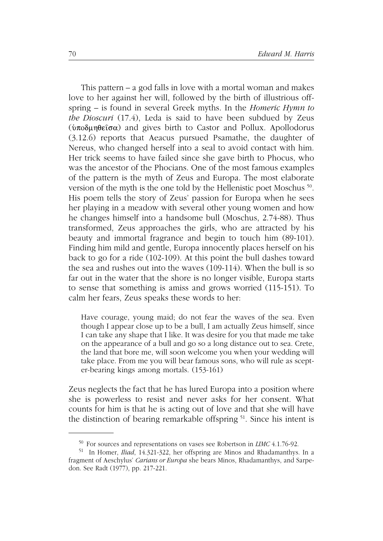This pattern – a god falls in love with a mortal woman and makes love to her against her will, followed by the birth of illustrious offspring – is found in several Greek myths. In the *Homeric Hymn to the Dioscuri* (17.4), Leda is said to have been subdued by Zeus  $(\hat{\nu}\pi_0\delta\mu\eta_0\epsilon_0\sigma\alpha)$  and gives birth to Castor and Pollux. Apollodorus (3.12.6) reports that Aeacus pursued Psamathe, the daughter of Nereus, who changed herself into a seal to avoid contact with him. Her trick seems to have failed since she gave birth to Phocus, who was the ancestor of the Phocians. One of the most famous examples of the pattern is the myth of Zeus and Europa. The most elaborate version of the myth is the one told by the Hellenistic poet Moschus <sup>50</sup>. His poem tells the story of Zeus' passion for Europa when he sees her playing in a meadow with several other young women and how he changes himself into a handsome bull (Moschus, 2.74-88). Thus transformed, Zeus approaches the girls, who are attracted by his beauty and immortal fragrance and begin to touch him (89-101). Finding him mild and gentle, Europa innocently places herself on his back to go for a ride (102-109). At this point the bull dashes toward the sea and rushes out into the waves (109-114). When the bull is so far out in the water that the shore is no longer visible, Europa starts to sense that something is amiss and grows worried (115-151). To calm her fears, Zeus speaks these words to her:

Have courage, young maid; do not fear the waves of the sea. Even though I appear close up to be a bull, I am actually Zeus himself, since I can take any shape that I like. It was desire for you that made me take on the appearance of a bull and go so a long distance out to sea. Crete, the land that bore me, will soon welcome you when your wedding will take place. From me you will bear famous sons, who will rule as scepter-bearing kings among mortals. (153-161)

Zeus neglects the fact that he has lured Europa into a position where she is powerless to resist and never asks for her consent. What counts for him is that he is acting out of love and that she will have the distinction of bearing remarkable offspring 51. Since his intent is

<sup>50</sup> For sources and representations on vases see Robertson in *LIMC* 4.1.76-92.

<sup>51</sup> In Homer, *Iliad*, 14.321-322, her offspring are Minos and Rhadamanthys. In a fragment of Aeschylus' *Carians or Europa* she bears Minos, Rhadamanthys, and Sarpedon. See Radt (1977), pp. 217-221.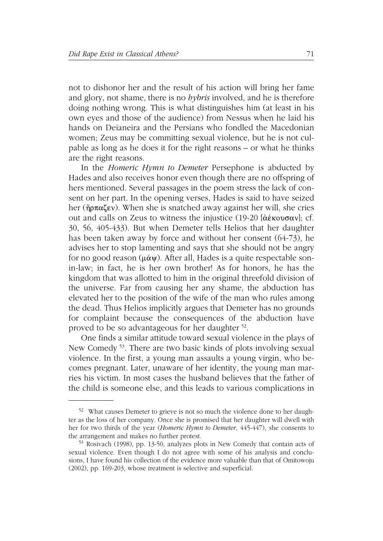not to dishonor her and the result of his action will bring her fame and glory, not shame, there is no *hybris* involved, and he is therefore doing nothing wrong. This is what distinguishes him (at least in his own eyes and those of the audience) from Nessus when he laid his hands on Deianeira and the Persians who fondled the Macedonian women; Zeus may be committing sexual violence, but he is not culpable as long as he does it for the right reasons – or what he thinks are the right reasons.

In the *Homeric Hymn to Demeter* Persephone is abducted by Hades and also receives honor even though there are no offspring of hers mentioned. Several passages in the poem stress the lack of consent on her part. In the opening verses, Hades is said to have seized her ( $\eta \rho \pi \alpha \zeta \epsilon \nu$ ). When she is snatched away against her will, she cries out and calls on Zeus to witness the injustice (19-20  $[*d*čkovov]$ ; cf. 30, 56, 405-433). But when Demeter tells Helios that her daughter has been taken away by force and without her consent (64-73), he advises her to stop lamenting and says that she should not be angry for no good reason  $(\mu \dot{\alpha} \psi)$ . After all, Hades is a quite respectable sonin-law; in fact, he is her own brother! As for honors, he has the kingdom that was allotted to him in the original threefold division of the universe. Far from causing her any shame, the abduction has elevated her to the position of the wife of the man who rules among the dead. Thus Helios implicitly argues that Demeter has no grounds for complaint because the consequences of the abduction have proved to be so advantageous for her daughter 52.

One finds a similar attitude toward sexual violence in the plays of New Comedy 53. There are two basic kinds of plots involving sexual violence. In the first, a young man assaults a young virgin, who becomes pregnant. Later, unaware of her identity, the young man marries his victim. In most cases the husband believes that the father of the child is someone else, and this leads to various complications in

<sup>&</sup>lt;sup>52</sup> What causes Demeter to grieve is not so much the violence done to her daughter as the loss of her company. Once she is promised that her daughter will dwell with her for two thirds of the year (*Homeric Hymn to Demeter*, 445-447), she consents to the arrangement and makes no further protest.

<sup>53</sup> Rosivach (1998), pp. 13-50, analyzes plots in New Comedy that contain acts of sexual violence. Even though I do not agree with some of his analysis and conclusions, I have found his collection of the evidence more valuable than that of Omitowoju (2002), pp. 169-203, whose treatment is selective and superficial.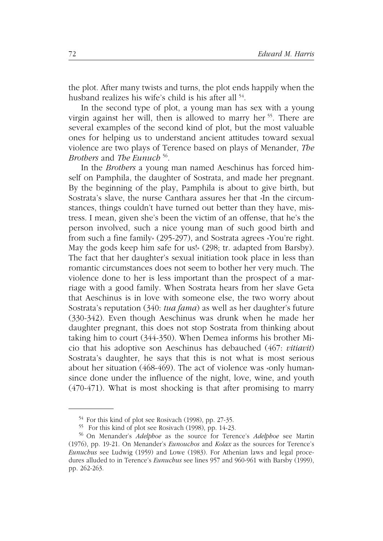the plot. After many twists and turns, the plot ends happily when the husband realizes his wife's child is his after all <sup>54</sup>.

In the second type of plot, a young man has sex with a young virgin against her will, then is allowed to marry her 55. There are several examples of the second kind of plot, but the most valuable ones for helping us to understand ancient attitudes toward sexual violence are two plays of Terence based on plays of Menander, *The Brothers* and *The Eunuch* 56.

In the *Brothers* a young man named Aeschinus has forced himself on Pamphila, the daughter of Sostrata, and made her pregnant. By the beginning of the play, Pamphila is about to give birth, but Sostrata's slave, the nurse Canthara assures her that «In the circumstances, things couldn't have turned out better than they have, mistress. I mean, given she's been the victim of an offense, that he's the person involved, such a nice young man of such good birth and from such a fine family» (295-297), and Sostrata agrees «You're right. May the gods keep him safe for us!» (298; tr. adapted from Barsby). The fact that her daughter's sexual initiation took place in less than romantic circumstances does not seem to bother her very much. The violence done to her is less important than the prospect of a marriage with a good family. When Sostrata hears from her slave Geta that Aeschinus is in love with someone else, the two worry about Sostrata's reputation (340: *tua fama*) as well as her daughter's future (330-342). Even though Aeschinus was drunk when he made her daughter pregnant, this does not stop Sostrata from thinking about taking him to court (344-350). When Demea informs his brother Micio that his adoptive son Aeschinus has debauched (467: *vitiavit*) Sostrata's daughter, he says that this is not what is most serious about her situation (468-469). The act of violence was «only human» since done under the influence of the night, love, wine, and youth (470-471). What is most shocking is that after promising to marry

<sup>54</sup> For this kind of plot see Rosivach (1998), pp. 27-35.

<sup>55</sup> For this kind of plot see Rosivach (1998), pp. 14-23.

<sup>56</sup> On Menander's *Adelphoe* as the source for Terence's *Adelphoe* see Martin (1976), pp. 19-21. On Menander's *Eunouchos* and *Kolax* as the sources for Terence's *Eunuchus* see Ludwig (1959) and Lowe (1983). For Athenian laws and legal procedures alluded to in Terence's *Eunuchus* see lines 957 and 960-961 with Barsby (1999), pp. 262-263.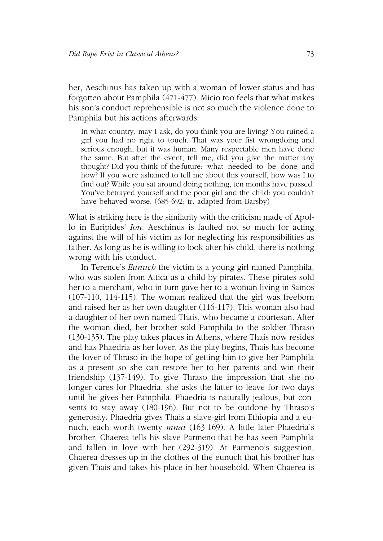her, Aeschinus has taken up with a woman of lower status and has forgotten about Pamphila  $(471-477)$ . Micio too feels that what makes his son's conduct reprehensible is not so much the violence done to Pamphila but his actions afterwards:

In what country, may I ask, do you think you are living? You ruined a girl you had no right to touch. That was your fist wrongdoing and serious enough, but it was human. Many respectable men have done the same. But after the event, tell me, did you give the matter any thought? Did you think of the future: what needed to be done and how? If you were ashamed to tell me about this yourself, how was I to find out? While you sat around doing nothing, ten months have passed. You've betrayed yourself and the poor girl and the child: you couldn't have behaved worse. (685-692; tr. adapted from Barsby)

What is striking here is the similarity with the criticism made of Apollo in Euripides' *Ion*: Aeschinus is faulted not so much for acting against the will of his victim as for neglecting his responsibilities as father. As long as he is willing to look after his child, there is nothing wrong with his conduct.

In Terence's *Eunuch* the victim is a young girl named Pamphila, who was stolen from Attica as a child by pirates. These pirates sold her to a merchant, who in turn gave her to a woman living in Samos (107-110, 114-115). The woman realized that the girl was freeborn and raised her as her own daughter (116-117). This woman also had a daughter of her own named Thais, who became a courtesan. After the woman died, her brother sold Pamphila to the soldier Thraso (130-135). The play takes places in Athens, where Thais now resides and has Phaedria as her lover. As the play begins, Thais has become the lover of Thraso in the hope of getting him to give her Pamphila as a present so she can restore her to her parents and win their friendship (137-149). To give Thraso the impression that she no longer cares for Phaedria, she asks the latter to leave for two days until he gives her Pamphila. Phaedria is naturally jealous, but consents to stay away (180-196). But not to be outdone by Thraso's generosity, Phaedria gives Thais a slave-girl from Ethiopia and a eunuch, each worth twenty *mnai* (163-169). A little later Phaedria's brother, Chaerea tells his slave Parmeno that he has seen Pamphila and fallen in love with her (292-319). At Parmeno's suggestion, Chaerea dresses up in the clothes of the eunuch that his brother has given Thais and takes his place in her household. When Chaerea is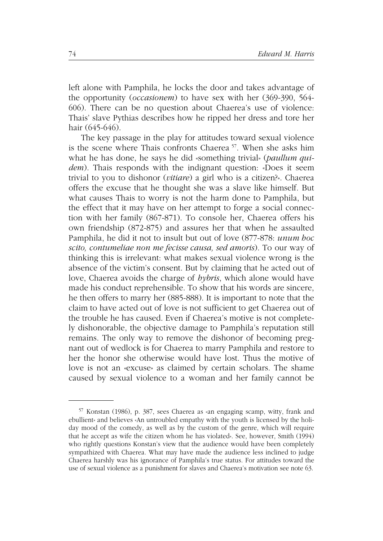left alone with Pamphila, he locks the door and takes advantage of the opportunity (*occasionem*) to have sex with her (369-390, 564- 606). There can be no question about Chaerea's use of violence: Thais' slave Pythias describes how he ripped her dress and tore her hair (645-646).

The key passage in the play for attitudes toward sexual violence is the scene where Thais confronts Chaerea 57. When she asks him what he has done, he says he did «something trivial» (*paullum quidem*). Thais responds with the indignant question: «Does it seem trivial to you to dishonor (*vitiare*) a girl who is a citizen?». Chaerea offers the excuse that he thought she was a slave like himself. But what causes Thais to worry is not the harm done to Pamphila, but the effect that it may have on her attempt to forge a social connection with her family (867-871). To console her, Chaerea offers his own friendship (872-875) and assures her that when he assaulted Pamphila, he did it not to insult but out of love (877-878: *unum hoc scito, contumeliae non me fecisse causa, sed amoris*). To our way of thinking this is irrelevant: what makes sexual violence wrong is the absence of the victim's consent. But by claiming that he acted out of love, Chaerea avoids the charge of *hybris*, which alone would have made his conduct reprehensible. To show that his words are sincere, he then offers to marry her (885-888). It is important to note that the claim to have acted out of love is not sufficient to get Chaerea out of the trouble he has caused. Even if Chaerea's motive is not completely dishonorable, the objective damage to Pamphila's reputation still remains. The only way to remove the dishonor of becoming pregnant out of wedlock is for Chaerea to marry Pamphila and restore to her the honor she otherwise would have lost. Thus the motive of love is not an «excuse» as claimed by certain scholars. The shame caused by sexual violence to a woman and her family cannot be

<sup>57</sup> Konstan (1986), p. 387, sees Chaerea as «an engaging scamp, witty, frank and ebullient» and believes «An untroubled empathy with the youth is licensed by the holiday mood of the comedy, as well as by the custom of the genre, which will require that he accept as wife the citizen whom he has violated». See, however, Smith (1994) who rightly questions Konstan's view that the audience would have been completely sympathized with Chaerea. What may have made the audience less inclined to judge Chaerea harshly was his ignorance of Pamphila's true status. For attitudes toward the use of sexual violence as a punishment for slaves and Chaerea's motivation see note 63.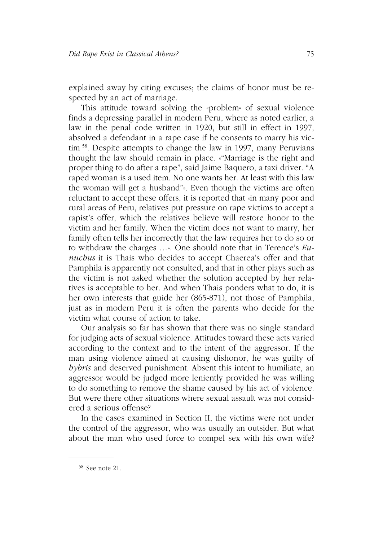explained away by citing excuses; the claims of honor must be respected by an act of marriage.

This attitude toward solving the «problem» of sexual violence finds a depressing parallel in modern Peru, where as noted earlier, a law in the penal code written in 1920, but still in effect in 1997, absolved a defendant in a rape case if he consents to marry his victim 58. Despite attempts to change the law in 1997, many Peruvians thought the law should remain in place. «"Marriage is the right and proper thing to do after a rape", said Jaime Baquero, a taxi driver. "A raped woman is a used item. No one wants her. At least with this law the woman will get a husband"». Even though the victims are often reluctant to accept these offers, it is reported that «in many poor and rural areas of Peru, relatives put pressure on rape victims to accept a rapist's offer, which the relatives believe will restore honor to the victim and her family. When the victim does not want to marry, her family often tells her incorrectly that the law requires her to do so or to withdraw the charges …». One should note that in Terence's *Eunuchus* it is Thais who decides to accept Chaerea's offer and that Pamphila is apparently not consulted, and that in other plays such as the victim is not asked whether the solution accepted by her relatives is acceptable to her. And when Thais ponders what to do, it is her own interests that guide her (865-871), not those of Pamphila, just as in modern Peru it is often the parents who decide for the victim what course of action to take.

Our analysis so far has shown that there was no single standard for judging acts of sexual violence. Attitudes toward these acts varied according to the context and to the intent of the aggressor. If the man using violence aimed at causing dishonor, he was guilty of *hybris* and deserved punishment. Absent this intent to humiliate, an aggressor would be judged more leniently provided he was willing to do something to remove the shame caused by his act of violence. But were there other situations where sexual assault was not considered a serious offense?

In the cases examined in Section II, the victims were not under the control of the aggressor, who was usually an outsider. But what about the man who used force to compel sex with his own wife?

<sup>58</sup> See note 21.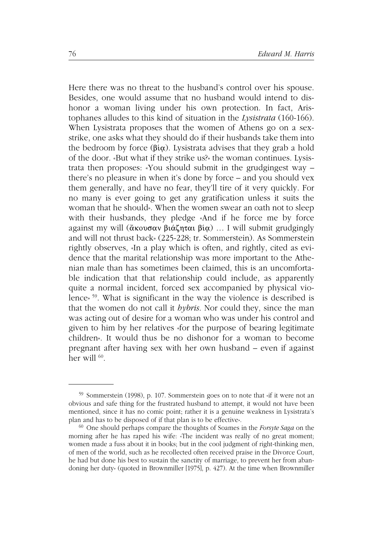Here there was no threat to the husband's control over his spouse. Besides, one would assume that no husband would intend to dishonor a woman living under his own protection. In fact, Aristophanes alludes to this kind of situation in the *Lysistrata* (160-166). When Lysistrata proposes that the women of Athens go on a sexstrike, one asks what they should do if their husbands take them into the bedroom by force  $(\beta \alpha)$ . Lysistrata advises that they grab a hold of the door. «But what if they strike us?» the woman continues. Lysistrata then proposes: «You should submit in the grudgingest way – there's no pleasure in when it's done by force – and you should vex them generally, and have no fear, they'll tire of it very quickly. For no many is ever going to get any gratification unless it suits the woman that he should». When the women swear an oath not to sleep with their husbands, they pledge «And if he force me by force against my will ( $\alpha x \in \beta(\alpha)$   $\ldots$  I will submit grudgingly and will not thrust back» (225-228; tr. Sommerstein). As Sommerstein rightly observes, «In a play which is often, and rightly, cited as evidence that the marital relationship was more important to the Athenian male than has sometimes been claimed, this is an uncomfortable indication that that relationship could include, as apparently quite a normal incident, forced sex accompanied by physical violence» 59. What is significant in the way the violence is described is that the women do not call it *hybris*. Nor could they, since the man was acting out of desire for a woman who was under his control and given to him by her relatives «for the purpose of bearing legitimate children». It would thus be no dishonor for a woman to become pregnant after having sex with her own husband – even if against her will <sup>60</sup>.

<sup>59</sup> Sommerstein (1998), p. 107. Sommerstein goes on to note that «if it were not an obvious and safe thing for the frustrated husband to attempt, it would not have been mentioned, since it has no comic point; rather it is a genuine weakness in Lysistrata's plan and has to be disposed of if that plan is to be effective».

<sup>60</sup> One should perhaps compare the thoughts of Soames in the *Forsyte Saga* on the morning after he has raped his wife: «The incident was really of no great moment; women made a fuss about it in books; but in the cool judgment of right-thinking men, of men of the world, such as he recollected often received praise in the Divorce Court, he had but done his best to sustain the sanctity of marriage, to prevent her from abandoning her duty» (quoted in Brownmiller [1975], p. 427). At the time when Brownmiller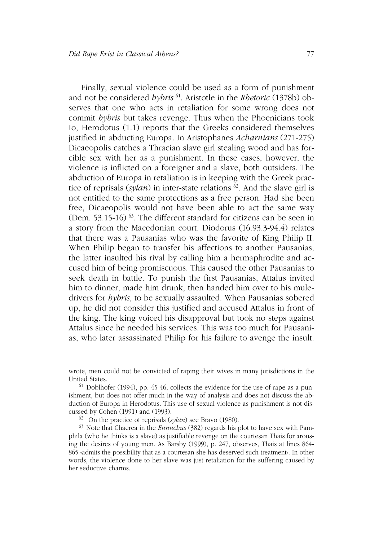Finally, sexual violence could be used as a form of punishment and not be considered *hybris* 61. Aristotle in the *Rhetoric* (1378b) observes that one who acts in retaliation for some wrong does not commit *hybris* but takes revenge. Thus when the Phoenicians took Io, Herodotus (1.1) reports that the Greeks considered themselves justified in abducting Europa. In Aristophanes *Acharnians* (271-275) Dicaeopolis catches a Thracian slave girl stealing wood and has forcible sex with her as a punishment. In these cases, however, the violence is inflicted on a foreigner and a slave, both outsiders. The abduction of Europa in retaliation is in keeping with the Greek practice of reprisals ( $s$ *ylan*) in inter-state relations  $\delta$ <sup>2</sup>. And the slave girl is not entitled to the same protections as a free person. Had she been free, Dicaeopolis would not have been able to act the same way (Dem.  $53.15$ -16)  $^{63}$ . The different standard for citizens can be seen in a story from the Macedonian court. Diodorus (16.93.3-94.4) relates that there was a Pausanias who was the favorite of King Philip II. When Philip began to transfer his affections to another Pausanias, the latter insulted his rival by calling him a hermaphrodite and accused him of being promiscuous. This caused the other Pausanias to seek death in battle. To punish the first Pausanias, Attalus invited him to dinner, made him drunk, then handed him over to his muledrivers for *hybris*, to be sexually assaulted. When Pausanias sobered up, he did not consider this justified and accused Attalus in front of the king. The king voiced his disapproval but took no steps against Attalus since he needed his services. This was too much for Pausanias, who later assassinated Philip for his failure to avenge the insult.

wrote, men could not be convicted of raping their wives in many jurisdictions in the United States.

 $61$  Doblhofer (1994), pp. 45-46, collects the evidence for the use of rape as a punishment, but does not offer much in the way of analysis and does not discuss the abduction of Europa in Herodotus. This use of sexual violence as punishment is not discussed by Cohen (1991) and (1993).

<sup>62</sup> On the practice of reprisals (*sylan*) see Bravo (1980).

<sup>63</sup> Note that Chaerea in the *Eunuchus* (382) regards his plot to have sex with Pamphila (who he thinks is a slave) as justifiable revenge on the courtesan Thais for arousing the desires of young men. As Barsby (1999), p. 247, observes, Thais at lines 864- 865 «admits the possibility that as a courtesan she has deserved such treatment». In other words, the violence done to her slave was just retaliation for the suffering caused by her seductive charms.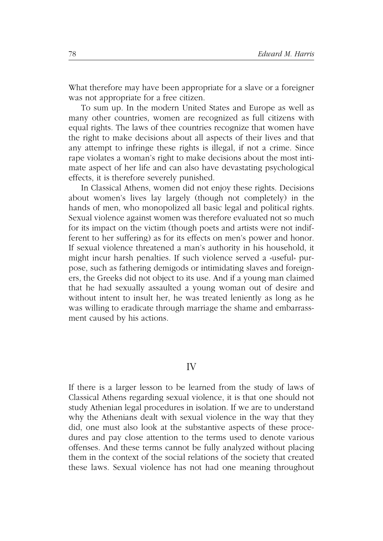What therefore may have been appropriate for a slave or a foreigner was not appropriate for a free citizen.

To sum up. In the modern United States and Europe as well as many other countries, women are recognized as full citizens with equal rights. The laws of thee countries recognize that women have the right to make decisions about all aspects of their lives and that any attempt to infringe these rights is illegal, if not a crime. Since rape violates a woman's right to make decisions about the most intimate aspect of her life and can also have devastating psychological effects, it is therefore severely punished.

In Classical Athens, women did not enjoy these rights. Decisions about women's lives lay largely (though not completely) in the hands of men, who monopolized all basic legal and political rights. Sexual violence against women was therefore evaluated not so much for its impact on the victim (though poets and artists were not indifferent to her suffering) as for its effects on men's power and honor. If sexual violence threatened a man's authority in his household, it might incur harsh penalties. If such violence served a «useful» purpose, such as fathering demigods or intimidating slaves and foreigners, the Greeks did not object to its use. And if a young man claimed that he had sexually assaulted a young woman out of desire and without intent to insult her, he was treated leniently as long as he was willing to eradicate through marriage the shame and embarrassment caused by his actions.

#### IV

If there is a larger lesson to be learned from the study of laws of Classical Athens regarding sexual violence, it is that one should not study Athenian legal procedures in isolation. If we are to understand why the Athenians dealt with sexual violence in the way that they did, one must also look at the substantive aspects of these procedures and pay close attention to the terms used to denote various offenses. And these terms cannot be fully analyzed without placing them in the context of the social relations of the society that created these laws. Sexual violence has not had one meaning throughout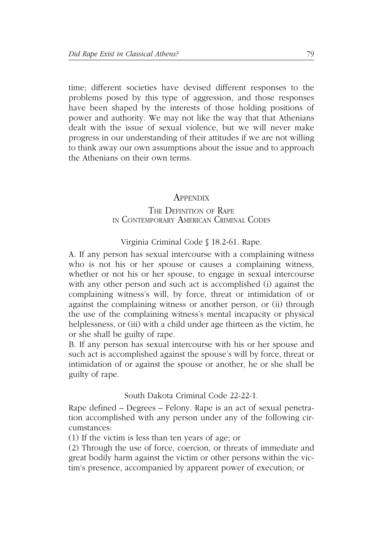time; different societies have devised different responses to the problems posed by this type of aggression, and those responses have been shaped by the interests of those holding positions of power and authority. We may not like the way that that Athenians dealt with the issue of sexual violence, but we will never make progress in our understanding of their attitudes if we are not willing to think away our own assumptions about the issue and to approach the Athenians on their own terms.

#### **APPENDIX**

#### THE DEFINITION OF RAPE IN CONTEMPORARY AMERICAN CRIMINAL CODES

#### Virginia Criminal Code § 18.2-61. Rape.

A. If any person has sexual intercourse with a complaining witness who is not his or her spouse or causes a complaining witness, whether or not his or her spouse, to engage in sexual intercourse with any other person and such act is accomplished (i) against the complaining witness's will, by force, threat or intimidation of or against the complaining witness or another person, or (ii) through the use of the complaining witness's mental incapacity or physical helplessness, or (iii) with a child under age thirteen as the victim, he or she shall be guilty of rape.

B. If any person has sexual intercourse with his or her spouse and such act is accomplished against the spouse's will by force, threat or intimidation of or against the spouse or another, he or she shall be guilty of rape.

#### South Dakota Criminal Code 22-22-1.

Rape defined – Degrees – Felony. Rape is an act of sexual penetration accomplished with any person under any of the following circumstances:

(1) If the victim is less than ten years of age; or

(2) Through the use of force, coercion, or threats of immediate and great bodily harm against the victim or other persons within the victim's presence, accompanied by apparent power of execution; or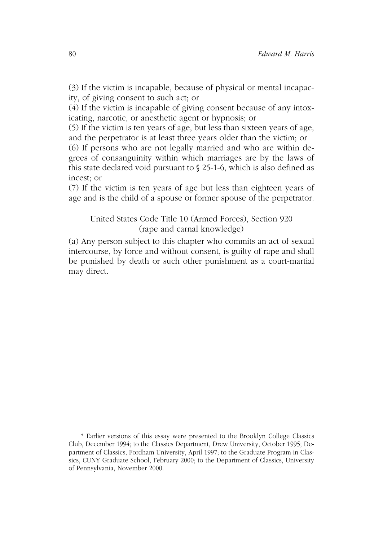(3) If the victim is incapable, because of physical or mental incapacity, of giving consent to such act; or

(4) If the victim is incapable of giving consent because of any intoxicating, narcotic, or anesthetic agent or hypnosis; or

(5) If the victim is ten years of age, but less than sixteen years of age, and the perpetrator is at least three years older than the victim; or

(6) If persons who are not legally married and who are within degrees of consanguinity within which marriages are by the laws of this state declared void pursuant to § 25-1-6, which is also defined as incest; or

(7) If the victim is ten years of age but less than eighteen years of age and is the child of a spouse or former spouse of the perpetrator.

United States Code Title 10 (Armed Forces), Section 920 (rape and carnal knowledge)

(a) Any person subject to this chapter who commits an act of sexual intercourse, by force and without consent, is guilty of rape and shall be punished by death or such other punishment as a court-martial may direct.

<sup>\*</sup> Earlier versions of this essay were presented to the Brooklyn College Classics Club, December 1994; to the Classics Department, Drew University, October 1995; Department of Classics, Fordham University, April 1997; to the Graduate Program in Classics, CUNY Graduate School, February 2000; to the Department of Classics, University of Pennsylvania, November 2000.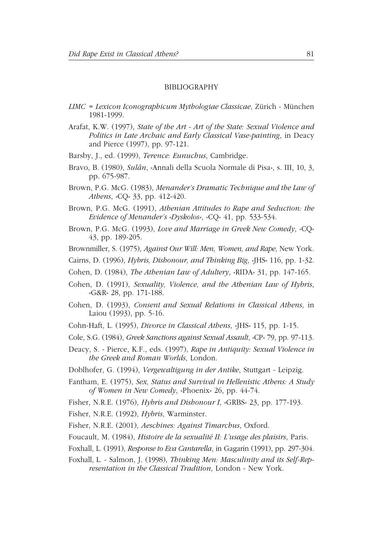#### BIBLIOGRAPHY

- *LIMC* = *Lexicon Iconographicum Mythologiae Classicae*, Zürich München 1981-1999.
- Arafat, K.W. (1997), *State of the Art Art of the State: Sexual Violence and Politics in Late Archaic and Early Classical Vase-painting*, in Deacy and Pierce (1997), pp. 97-121.
- Barsby, J., ed. (1999), *Terence: Eunuchus*, Cambridge.
- Bravo, B. (1980), *Sulân*, «Annali della Scuola Normale di Pisa», s. III, 10, 3, pp. 675-987.
- Brown, P.G. McG. (1983), *Menander's Dramatic Technique and the Law of Athens*, «CQ» 33, pp. 412-420.
- Brown, P.G. McG. (1991), *Athenian Attitudes to Rape and Seduction: the Evidence of Menander's «Dyskolos»*, «CQ» 41, pp. 533-534.
- Brown, P.G. McG. (1993), *Love and Marriage in Greek New Comedy*, «CQ» 43, pp. 189-205.
- Brownmiller, S. (1975), *Against Our Will: Men, Women, and Rape*, New York.
- Cairns, D. (1996), *Hybris, Dishonour, and Thinking Big*, «JHS» 116, pp. 1-32.
- Cohen, D. (1984), *The Athenian Law of Adultery*, «RIDA» 31, pp. 147-165.
- Cohen, D. (1991), *Sexuality, Violence, and the Athenian Law of Hybris*, «G&R» 28, pp. 171-188.
- Cohen, D. (1993), *Consent and Sexual Relations in Classical Athens*, in Laiou (1993), pp. 5-16.
- Cohn-Haft, L. (1995), *Divorce in Classical Athens*, «JHS» 115, pp. 1-15.
- Cole, S.G. (1984), *Greek Sanctions against Sexual Assault*, «CP» 79, pp. 97-113.
- Deacy, S. Pierce, K.F., eds. (1997), *Rape in Antiquity: Sexual Violence in the Greek and Roman Worlds*, London.
- Doblhofer, G. (1994), *Vergewaltigung in der Antike*, Stuttgart Leipzig.
- Fantham, E. (1975), *Sex, Status and Survival in Hellenistic Athens: A Study of Women in New Comedy*, «Phoenix» 26, pp. 44-74.
- Fisher, N.R.E. (1976), *Hybris and Dishonour I*, «GRBS» 23, pp. 177-193.

Fisher, N.R.E. (1992), *Hybris*, Warminster.

- Fisher, N.R.E. (2001), *Aeschines: Against Timarchus*, Oxford.
- Foucault, M. (1984), *Histoire de la sexualité II: L'usage des plaisirs*, Paris.
- Foxhall, L. (1991), *Response to Eva Cantarella*, in Gagarin (1991), pp. 297-304.
- Foxhall, L. Salmon, J. (1998), *Thinking Men: Masculinity and its Self-Representation in the Classical Tradition*, London - New York.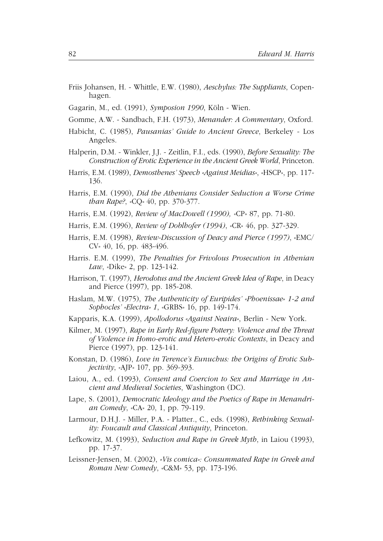- Friis Johansen, H. Whittle, E.W. (1980), *Aeschylus: The Suppliants*, Copenhagen.
- Gagarin, M., ed. (1991), *Symposion 1990*, Köln Wien.
- Gomme, A.W. Sandbach, F.H. (1973), *Menander: A Commentary*, Oxford.
- Habicht, C. (1985), *Pausanias' Guide to Ancient Greece*, Berkeley Los Angeles.
- Halperin, D.M. Winkler, J.J. Zeitlin, F.I., eds. (1990), *Before Sexuality: The Construction of Erotic Experience in the Ancient Greek World*, Princeton.
- Harris, E.M. (1989), *Demosthenes' Speech «Against Meidias»*, «HSCP», pp. 117- 136.
- Harris, E.M. (1990), *Did the Athenians Consider Seduction a Worse Crime than Rape?*, «CQ» 40, pp. 370-377.
- Harris, E.M. (1992), *Review of MacDowell (1990),* «CP» 87, pp. 71-80.
- Harris, E.M. (1996), *Review of Doblhofer (1994)*, «CR» 46, pp. 327-329.
- Harris, E.M. (1998), *Review-Discussion of Deacy and Pierce (1997)*, «EMC/ CV» 40, 16, pp. 483-496.
- Harris. E.M. (1999), *The Penalties for Frivolous Prosecution in Athenian Law*, «Dike» 2, pp. 123-142.
- Harrison, T. (1997), *Herodotus and the Ancient Greek Idea of Rape*, in Deacy and Pierce (1997), pp. 185-208.
- Haslam, M.W. (1975), *The Authenticity of Euripides' «Phoenissae» 1-2 and Sophocles' «Electra» 1*, «GRBS» 16, pp. 149-174.
- Kapparis, K.A. (1999), *Apollodorus «Against Neaira»*, Berlin New York.
- Kilmer, M. (1997), *Rape in Early Red-figure Pottery: Violence and the Threat of Violence in Homo-erotic and Hetero-erotic Contexts*, in Deacy and Pierce (1997), pp. 123-141.
- Konstan, D. (1986), *Love in Terence's Eunuchus: the Origins of Erotic Subjectivity*, «AJP» 107, pp. 369-393.
- Laiou, A., ed. (1993), *Consent and Coercion to Sex and Marriage in Ancient and Medieval Societies*, Washington (DC).
- Lape, S. (2001), *Democratic Ideology and the Poetics of Rape in Menandrian Comedy*, «CA» 20, 1, pp. 79-119.
- Larmour, D.H.J. Miller, P.A. Platter., C., eds. (1998), *Rethinking Sexuality: Foucault and Classical Antiquity*, Princeton.
- Lefkowitz, M. (1993), *Seduction and Rape in Greek Myth*, in Laiou (1993), pp. 17-37.
- Leissner-Jensen, M. (2002), *«Vis comica»: Consummated Rape in Greek and Roman New Comedy*, «C&M» 53, pp. 173-196.